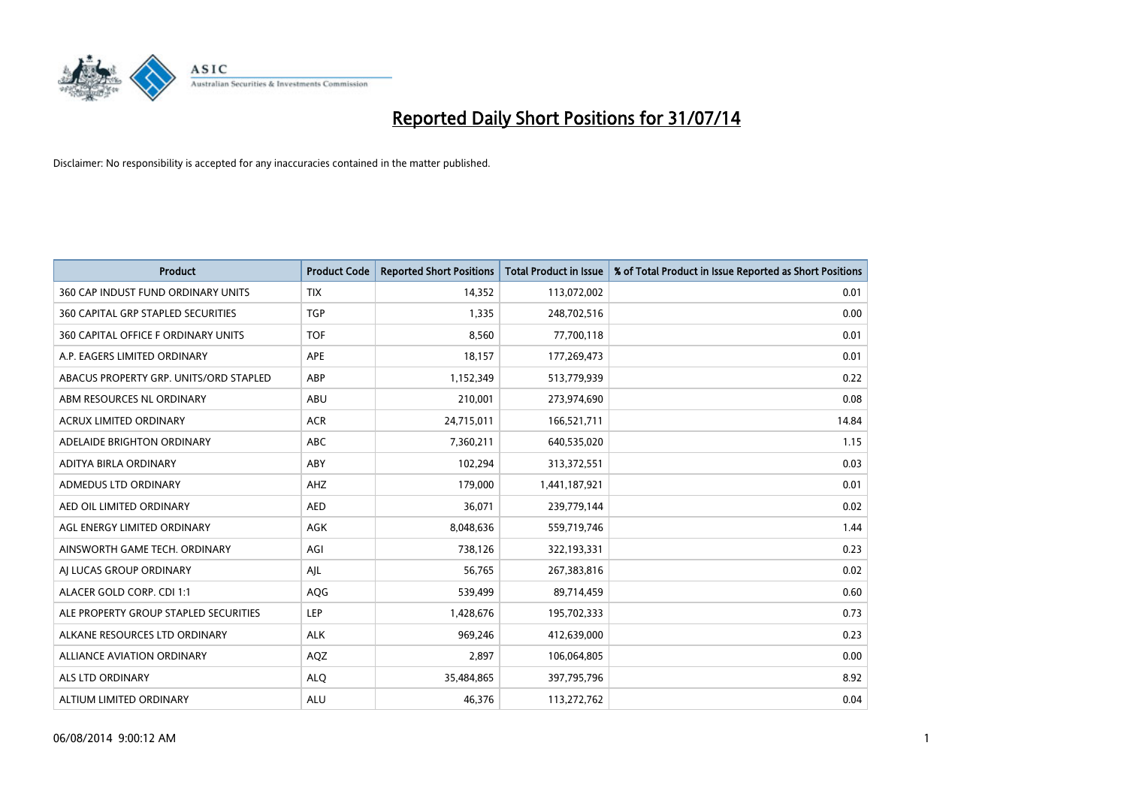

| <b>Product</b>                            | <b>Product Code</b> | <b>Reported Short Positions</b> | <b>Total Product in Issue</b> | % of Total Product in Issue Reported as Short Positions |
|-------------------------------------------|---------------------|---------------------------------|-------------------------------|---------------------------------------------------------|
| 360 CAP INDUST FUND ORDINARY UNITS        | <b>TIX</b>          | 14,352                          | 113,072,002                   | 0.01                                                    |
| <b>360 CAPITAL GRP STAPLED SECURITIES</b> | <b>TGP</b>          | 1,335                           | 248,702,516                   | 0.00                                                    |
| 360 CAPITAL OFFICE F ORDINARY UNITS       | <b>TOF</b>          | 8,560                           | 77,700,118                    | 0.01                                                    |
| A.P. EAGERS LIMITED ORDINARY              | APE                 | 18,157                          | 177,269,473                   | 0.01                                                    |
| ABACUS PROPERTY GRP. UNITS/ORD STAPLED    | ABP                 | 1,152,349                       | 513,779,939                   | 0.22                                                    |
| ABM RESOURCES NL ORDINARY                 | ABU                 | 210,001                         | 273,974,690                   | 0.08                                                    |
| <b>ACRUX LIMITED ORDINARY</b>             | <b>ACR</b>          | 24,715,011                      | 166,521,711                   | 14.84                                                   |
| ADELAIDE BRIGHTON ORDINARY                | <b>ABC</b>          | 7,360,211                       | 640,535,020                   | 1.15                                                    |
| ADITYA BIRLA ORDINARY                     | ABY                 | 102,294                         | 313,372,551                   | 0.03                                                    |
| ADMEDUS LTD ORDINARY                      | AHZ                 | 179,000                         | 1,441,187,921                 | 0.01                                                    |
| AED OIL LIMITED ORDINARY                  | <b>AED</b>          | 36,071                          | 239,779,144                   | 0.02                                                    |
| AGL ENERGY LIMITED ORDINARY               | AGK                 | 8,048,636                       | 559,719,746                   | 1.44                                                    |
| AINSWORTH GAME TECH. ORDINARY             | AGI                 | 738,126                         | 322,193,331                   | 0.23                                                    |
| AI LUCAS GROUP ORDINARY                   | AJL                 | 56,765                          | 267,383,816                   | 0.02                                                    |
| ALACER GOLD CORP. CDI 1:1                 | AQG                 | 539,499                         | 89,714,459                    | 0.60                                                    |
| ALE PROPERTY GROUP STAPLED SECURITIES     | LEP                 | 1,428,676                       | 195,702,333                   | 0.73                                                    |
| ALKANE RESOURCES LTD ORDINARY             | <b>ALK</b>          | 969,246                         | 412,639,000                   | 0.23                                                    |
| <b>ALLIANCE AVIATION ORDINARY</b>         | AQZ                 | 2,897                           | 106,064,805                   | 0.00                                                    |
| ALS LTD ORDINARY                          | <b>ALO</b>          | 35,484,865                      | 397,795,796                   | 8.92                                                    |
| ALTIUM LIMITED ORDINARY                   | <b>ALU</b>          | 46,376                          | 113,272,762                   | 0.04                                                    |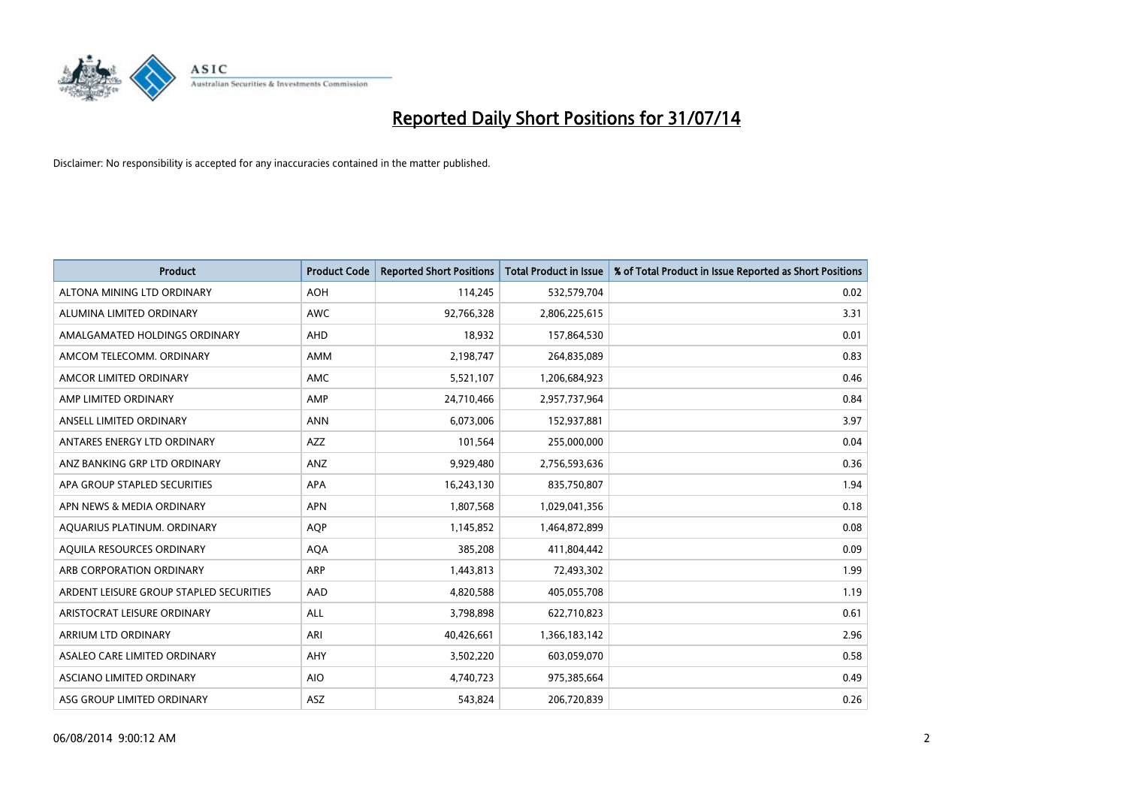

| <b>Product</b>                          | <b>Product Code</b> | <b>Reported Short Positions</b> | <b>Total Product in Issue</b> | % of Total Product in Issue Reported as Short Positions |
|-----------------------------------------|---------------------|---------------------------------|-------------------------------|---------------------------------------------------------|
| ALTONA MINING LTD ORDINARY              | <b>AOH</b>          | 114,245                         | 532,579,704                   | 0.02                                                    |
| ALUMINA LIMITED ORDINARY                | AWC                 | 92,766,328                      | 2,806,225,615                 | 3.31                                                    |
| AMALGAMATED HOLDINGS ORDINARY           | AHD                 | 18,932                          | 157,864,530                   | 0.01                                                    |
| AMCOM TELECOMM, ORDINARY                | AMM                 | 2,198,747                       | 264,835,089                   | 0.83                                                    |
| AMCOR LIMITED ORDINARY                  | AMC                 | 5,521,107                       | 1,206,684,923                 | 0.46                                                    |
| AMP LIMITED ORDINARY                    | AMP                 | 24,710,466                      | 2,957,737,964                 | 0.84                                                    |
| ANSELL LIMITED ORDINARY                 | <b>ANN</b>          | 6,073,006                       | 152,937,881                   | 3.97                                                    |
| ANTARES ENERGY LTD ORDINARY             | AZZ                 | 101,564                         | 255,000,000                   | 0.04                                                    |
| ANZ BANKING GRP LTD ORDINARY            | ANZ                 | 9,929,480                       | 2,756,593,636                 | 0.36                                                    |
| APA GROUP STAPLED SECURITIES            | <b>APA</b>          | 16,243,130                      | 835,750,807                   | 1.94                                                    |
| APN NEWS & MEDIA ORDINARY               | <b>APN</b>          | 1,807,568                       | 1,029,041,356                 | 0.18                                                    |
| AQUARIUS PLATINUM. ORDINARY             | <b>AOP</b>          | 1,145,852                       | 1,464,872,899                 | 0.08                                                    |
| AQUILA RESOURCES ORDINARY               | <b>AQA</b>          | 385,208                         | 411,804,442                   | 0.09                                                    |
| ARB CORPORATION ORDINARY                | <b>ARP</b>          | 1,443,813                       | 72,493,302                    | 1.99                                                    |
| ARDENT LEISURE GROUP STAPLED SECURITIES | AAD                 | 4,820,588                       | 405,055,708                   | 1.19                                                    |
| ARISTOCRAT LEISURE ORDINARY             | ALL                 | 3,798,898                       | 622,710,823                   | 0.61                                                    |
| ARRIUM LTD ORDINARY                     | ARI                 | 40,426,661                      | 1,366,183,142                 | 2.96                                                    |
| ASALEO CARE LIMITED ORDINARY            | AHY                 | 3,502,220                       | 603,059,070                   | 0.58                                                    |
| ASCIANO LIMITED ORDINARY                | <b>AIO</b>          | 4,740,723                       | 975,385,664                   | 0.49                                                    |
| ASG GROUP LIMITED ORDINARY              | ASZ                 | 543,824                         | 206,720,839                   | 0.26                                                    |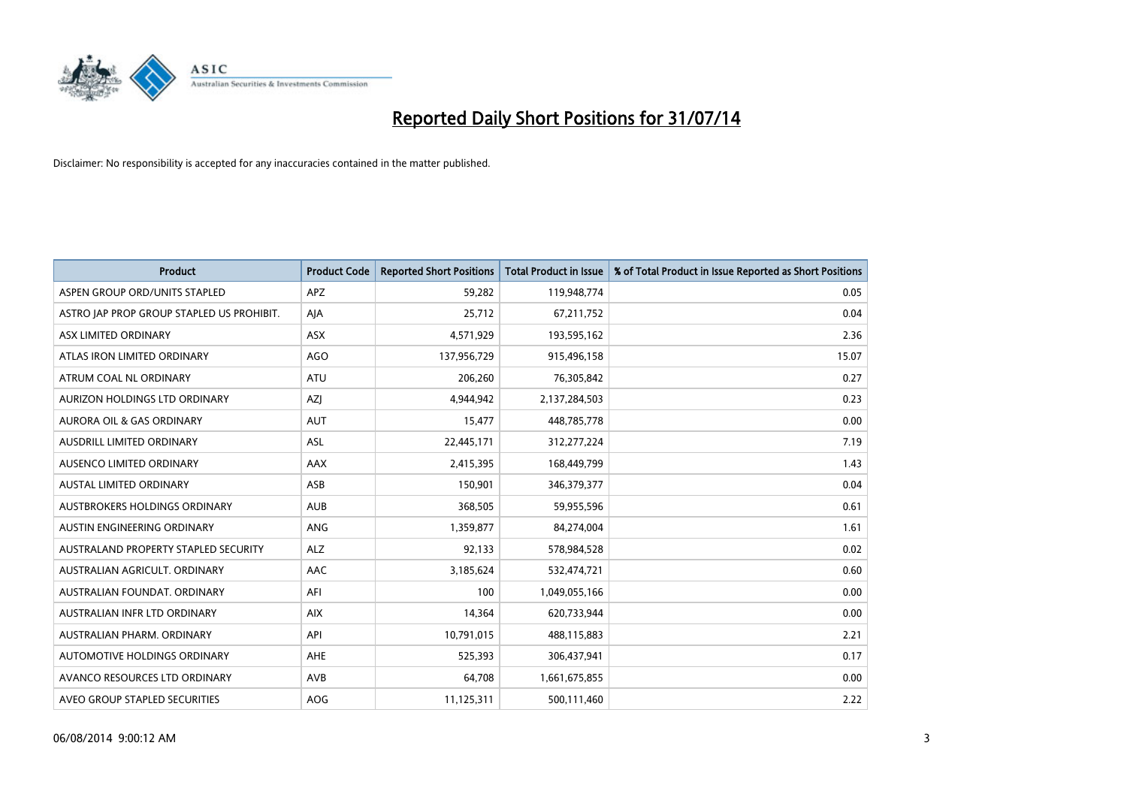

| <b>Product</b>                            | <b>Product Code</b> | <b>Reported Short Positions</b> | <b>Total Product in Issue</b> | % of Total Product in Issue Reported as Short Positions |
|-------------------------------------------|---------------------|---------------------------------|-------------------------------|---------------------------------------------------------|
| ASPEN GROUP ORD/UNITS STAPLED             | APZ                 | 59,282                          | 119,948,774                   | 0.05                                                    |
| ASTRO JAP PROP GROUP STAPLED US PROHIBIT. | AJA                 | 25,712                          | 67,211,752                    | 0.04                                                    |
| ASX LIMITED ORDINARY                      | ASX                 | 4,571,929                       | 193,595,162                   | 2.36                                                    |
| ATLAS IRON LIMITED ORDINARY               | <b>AGO</b>          | 137,956,729                     | 915,496,158                   | 15.07                                                   |
| ATRUM COAL NL ORDINARY                    | ATU                 | 206,260                         | 76,305,842                    | 0.27                                                    |
| AURIZON HOLDINGS LTD ORDINARY             | AZJ                 | 4,944,942                       | 2,137,284,503                 | 0.23                                                    |
| AURORA OIL & GAS ORDINARY                 | <b>AUT</b>          | 15,477                          | 448,785,778                   | 0.00                                                    |
| AUSDRILL LIMITED ORDINARY                 | ASL                 | 22,445,171                      | 312,277,224                   | 7.19                                                    |
| AUSENCO LIMITED ORDINARY                  | AAX                 | 2,415,395                       | 168,449,799                   | 1.43                                                    |
| <b>AUSTAL LIMITED ORDINARY</b>            | ASB                 | 150,901                         | 346,379,377                   | 0.04                                                    |
| AUSTBROKERS HOLDINGS ORDINARY             | <b>AUB</b>          | 368,505                         | 59,955,596                    | 0.61                                                    |
| AUSTIN ENGINEERING ORDINARY               | ANG                 | 1,359,877                       | 84,274,004                    | 1.61                                                    |
| AUSTRALAND PROPERTY STAPLED SECURITY      | <b>ALZ</b>          | 92,133                          | 578,984,528                   | 0.02                                                    |
| AUSTRALIAN AGRICULT, ORDINARY             | AAC                 | 3,185,624                       | 532,474,721                   | 0.60                                                    |
| AUSTRALIAN FOUNDAT, ORDINARY              | AFI                 | 100                             | 1,049,055,166                 | 0.00                                                    |
| AUSTRALIAN INFR LTD ORDINARY              | <b>AIX</b>          | 14,364                          | 620,733,944                   | 0.00                                                    |
| AUSTRALIAN PHARM, ORDINARY                | API                 | 10,791,015                      | 488,115,883                   | 2.21                                                    |
| AUTOMOTIVE HOLDINGS ORDINARY              | AHE                 | 525,393                         | 306,437,941                   | 0.17                                                    |
| AVANCO RESOURCES LTD ORDINARY             | AVB                 | 64,708                          | 1,661,675,855                 | 0.00                                                    |
| AVEO GROUP STAPLED SECURITIES             | AOG                 | 11,125,311                      | 500,111,460                   | 2.22                                                    |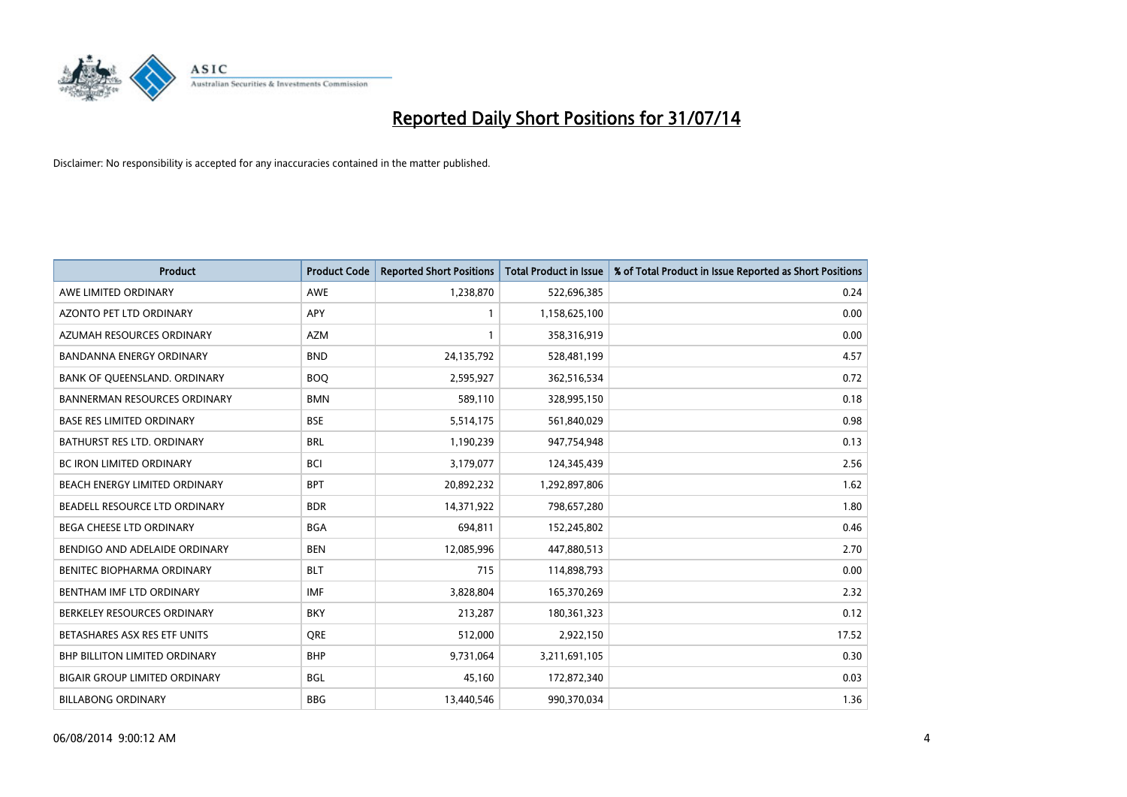

| <b>Product</b>                       | <b>Product Code</b> | <b>Reported Short Positions</b> | <b>Total Product in Issue</b> | % of Total Product in Issue Reported as Short Positions |
|--------------------------------------|---------------------|---------------------------------|-------------------------------|---------------------------------------------------------|
| AWE LIMITED ORDINARY                 | <b>AWE</b>          | 1,238,870                       | 522,696,385                   | 0.24                                                    |
| AZONTO PET LTD ORDINARY              | APY                 | 1                               | 1,158,625,100                 | 0.00                                                    |
| AZUMAH RESOURCES ORDINARY            | <b>AZM</b>          | $\mathbf{1}$                    | 358,316,919                   | 0.00                                                    |
| <b>BANDANNA ENERGY ORDINARY</b>      | <b>BND</b>          | 24,135,792                      | 528,481,199                   | 4.57                                                    |
| BANK OF QUEENSLAND. ORDINARY         | <b>BOQ</b>          | 2,595,927                       | 362,516,534                   | 0.72                                                    |
| <b>BANNERMAN RESOURCES ORDINARY</b>  | <b>BMN</b>          | 589,110                         | 328,995,150                   | 0.18                                                    |
| <b>BASE RES LIMITED ORDINARY</b>     | <b>BSE</b>          | 5,514,175                       | 561,840,029                   | 0.98                                                    |
| BATHURST RES LTD. ORDINARY           | <b>BRL</b>          | 1,190,239                       | 947,754,948                   | 0.13                                                    |
| BC IRON LIMITED ORDINARY             | <b>BCI</b>          | 3,179,077                       | 124,345,439                   | 2.56                                                    |
| BEACH ENERGY LIMITED ORDINARY        | <b>BPT</b>          | 20,892,232                      | 1,292,897,806                 | 1.62                                                    |
| BEADELL RESOURCE LTD ORDINARY        | <b>BDR</b>          | 14,371,922                      | 798,657,280                   | 1.80                                                    |
| BEGA CHEESE LTD ORDINARY             | <b>BGA</b>          | 694,811                         | 152,245,802                   | 0.46                                                    |
| BENDIGO AND ADELAIDE ORDINARY        | <b>BEN</b>          | 12,085,996                      | 447,880,513                   | 2.70                                                    |
| BENITEC BIOPHARMA ORDINARY           | <b>BLT</b>          | 715                             | 114,898,793                   | 0.00                                                    |
| BENTHAM IMF LTD ORDINARY             | <b>IMF</b>          | 3,828,804                       | 165,370,269                   | 2.32                                                    |
| BERKELEY RESOURCES ORDINARY          | <b>BKY</b>          | 213,287                         | 180,361,323                   | 0.12                                                    |
| BETASHARES ASX RES ETF UNITS         | <b>ORE</b>          | 512,000                         | 2,922,150                     | 17.52                                                   |
| <b>BHP BILLITON LIMITED ORDINARY</b> | <b>BHP</b>          | 9,731,064                       | 3,211,691,105                 | 0.30                                                    |
| <b>BIGAIR GROUP LIMITED ORDINARY</b> | <b>BGL</b>          | 45,160                          | 172,872,340                   | 0.03                                                    |
| <b>BILLABONG ORDINARY</b>            | <b>BBG</b>          | 13,440,546                      | 990,370,034                   | 1.36                                                    |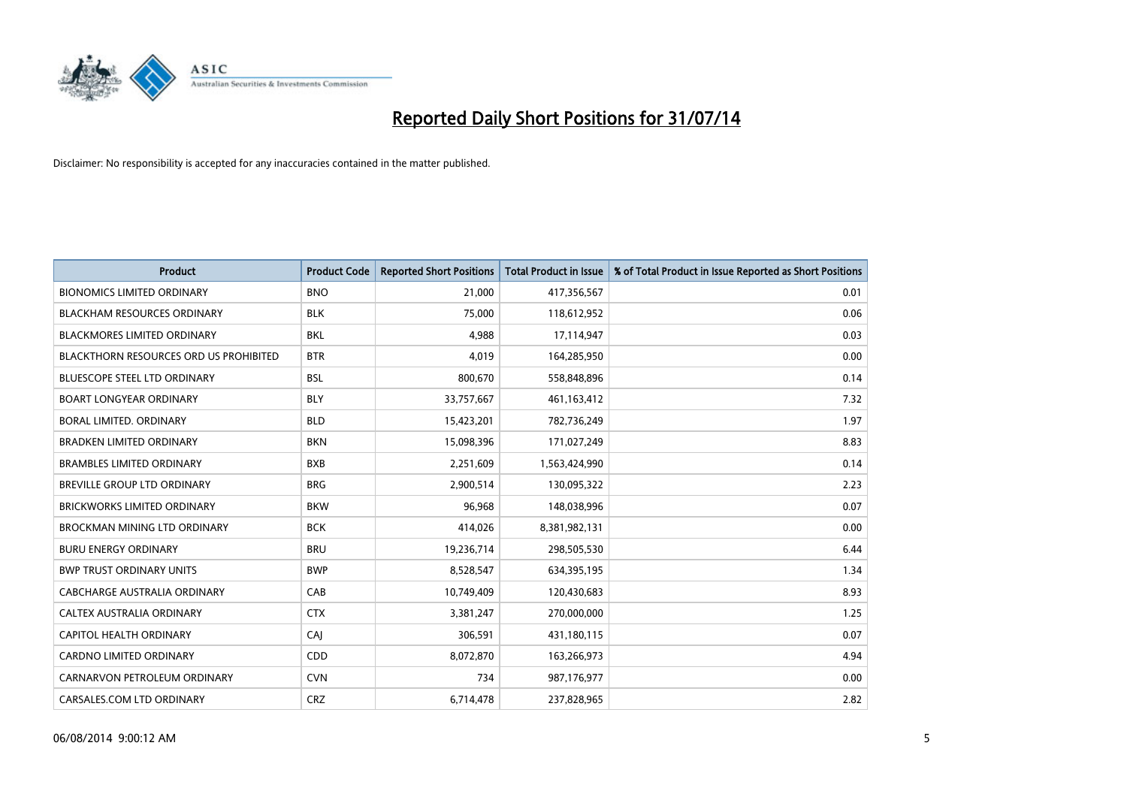

| <b>Product</b>                         | <b>Product Code</b> | <b>Reported Short Positions</b> | <b>Total Product in Issue</b> | % of Total Product in Issue Reported as Short Positions |
|----------------------------------------|---------------------|---------------------------------|-------------------------------|---------------------------------------------------------|
| <b>BIONOMICS LIMITED ORDINARY</b>      | <b>BNO</b>          | 21,000                          | 417,356,567                   | 0.01                                                    |
| <b>BLACKHAM RESOURCES ORDINARY</b>     | <b>BLK</b>          | 75,000                          | 118,612,952                   | 0.06                                                    |
| <b>BLACKMORES LIMITED ORDINARY</b>     | <b>BKL</b>          | 4,988                           | 17,114,947                    | 0.03                                                    |
| BLACKTHORN RESOURCES ORD US PROHIBITED | <b>BTR</b>          | 4,019                           | 164,285,950                   | 0.00                                                    |
| <b>BLUESCOPE STEEL LTD ORDINARY</b>    | <b>BSL</b>          | 800,670                         | 558,848,896                   | 0.14                                                    |
| <b>BOART LONGYEAR ORDINARY</b>         | <b>BLY</b>          | 33,757,667                      | 461,163,412                   | 7.32                                                    |
| BORAL LIMITED, ORDINARY                | <b>BLD</b>          | 15,423,201                      | 782,736,249                   | 1.97                                                    |
| <b>BRADKEN LIMITED ORDINARY</b>        | <b>BKN</b>          | 15,098,396                      | 171,027,249                   | 8.83                                                    |
| <b>BRAMBLES LIMITED ORDINARY</b>       | <b>BXB</b>          | 2,251,609                       | 1,563,424,990                 | 0.14                                                    |
| <b>BREVILLE GROUP LTD ORDINARY</b>     | <b>BRG</b>          | 2,900,514                       | 130,095,322                   | 2.23                                                    |
| BRICKWORKS LIMITED ORDINARY            | <b>BKW</b>          | 96,968                          | 148,038,996                   | 0.07                                                    |
| <b>BROCKMAN MINING LTD ORDINARY</b>    | <b>BCK</b>          | 414,026                         | 8,381,982,131                 | 0.00                                                    |
| <b>BURU ENERGY ORDINARY</b>            | <b>BRU</b>          | 19,236,714                      | 298,505,530                   | 6.44                                                    |
| <b>BWP TRUST ORDINARY UNITS</b>        | <b>BWP</b>          | 8,528,547                       | 634,395,195                   | 1.34                                                    |
| <b>CABCHARGE AUSTRALIA ORDINARY</b>    | CAB                 | 10,749,409                      | 120,430,683                   | 8.93                                                    |
| CALTEX AUSTRALIA ORDINARY              | <b>CTX</b>          | 3,381,247                       | 270,000,000                   | 1.25                                                    |
| CAPITOL HEALTH ORDINARY                | CAJ                 | 306,591                         | 431,180,115                   | 0.07                                                    |
| CARDNO LIMITED ORDINARY                | CDD                 | 8,072,870                       | 163,266,973                   | 4.94                                                    |
| CARNARVON PETROLEUM ORDINARY           | <b>CVN</b>          | 734                             | 987,176,977                   | 0.00                                                    |
| CARSALES.COM LTD ORDINARY              | <b>CRZ</b>          | 6,714,478                       | 237,828,965                   | 2.82                                                    |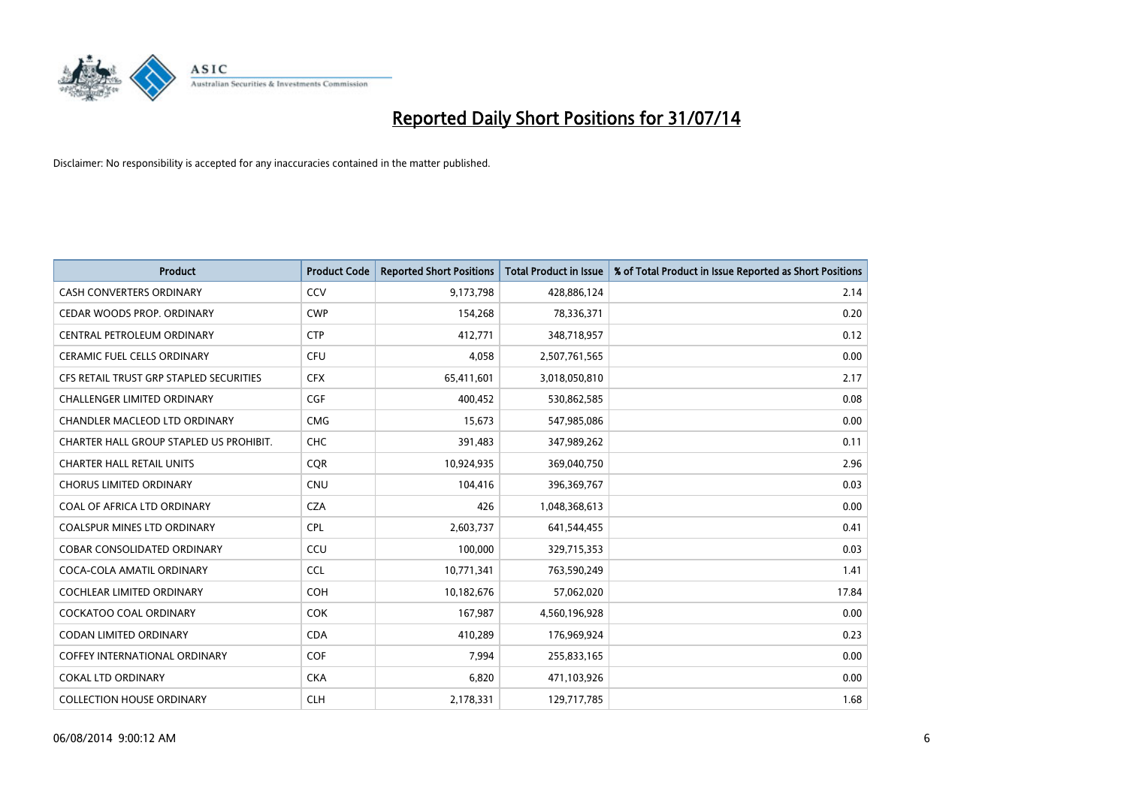

| <b>Product</b>                          | <b>Product Code</b> | <b>Reported Short Positions</b> | <b>Total Product in Issue</b> | % of Total Product in Issue Reported as Short Positions |
|-----------------------------------------|---------------------|---------------------------------|-------------------------------|---------------------------------------------------------|
| <b>CASH CONVERTERS ORDINARY</b>         | CCV                 | 9,173,798                       | 428,886,124                   | 2.14                                                    |
| CEDAR WOODS PROP. ORDINARY              | <b>CWP</b>          | 154,268                         | 78,336,371                    | 0.20                                                    |
| CENTRAL PETROLEUM ORDINARY              | <b>CTP</b>          | 412,771                         | 348,718,957                   | 0.12                                                    |
| <b>CERAMIC FUEL CELLS ORDINARY</b>      | <b>CFU</b>          | 4.058                           | 2,507,761,565                 | 0.00                                                    |
| CFS RETAIL TRUST GRP STAPLED SECURITIES | <b>CFX</b>          | 65,411,601                      | 3,018,050,810                 | 2.17                                                    |
| <b>CHALLENGER LIMITED ORDINARY</b>      | <b>CGF</b>          | 400,452                         | 530,862,585                   | 0.08                                                    |
| CHANDLER MACLEOD LTD ORDINARY           | <b>CMG</b>          | 15,673                          | 547,985,086                   | 0.00                                                    |
| CHARTER HALL GROUP STAPLED US PROHIBIT. | <b>CHC</b>          | 391,483                         | 347,989,262                   | 0.11                                                    |
| <b>CHARTER HALL RETAIL UNITS</b>        | <b>COR</b>          | 10,924,935                      | 369,040,750                   | 2.96                                                    |
| <b>CHORUS LIMITED ORDINARY</b>          | <b>CNU</b>          | 104,416                         | 396,369,767                   | 0.03                                                    |
| COAL OF AFRICA LTD ORDINARY             | <b>CZA</b>          | 426                             | 1,048,368,613                 | 0.00                                                    |
| <b>COALSPUR MINES LTD ORDINARY</b>      | <b>CPL</b>          | 2,603,737                       | 641,544,455                   | 0.41                                                    |
| COBAR CONSOLIDATED ORDINARY             | CCU                 | 100,000                         | 329,715,353                   | 0.03                                                    |
| COCA-COLA AMATIL ORDINARY               | <b>CCL</b>          | 10,771,341                      | 763,590,249                   | 1.41                                                    |
| <b>COCHLEAR LIMITED ORDINARY</b>        | <b>COH</b>          | 10,182,676                      | 57,062,020                    | 17.84                                                   |
| <b>COCKATOO COAL ORDINARY</b>           | <b>COK</b>          | 167,987                         | 4,560,196,928                 | 0.00                                                    |
| <b>CODAN LIMITED ORDINARY</b>           | <b>CDA</b>          | 410,289                         | 176,969,924                   | 0.23                                                    |
| <b>COFFEY INTERNATIONAL ORDINARY</b>    | <b>COF</b>          | 7.994                           | 255,833,165                   | 0.00                                                    |
| <b>COKAL LTD ORDINARY</b>               | <b>CKA</b>          | 6,820                           | 471,103,926                   | 0.00                                                    |
| <b>COLLECTION HOUSE ORDINARY</b>        | <b>CLH</b>          | 2,178,331                       | 129,717,785                   | 1.68                                                    |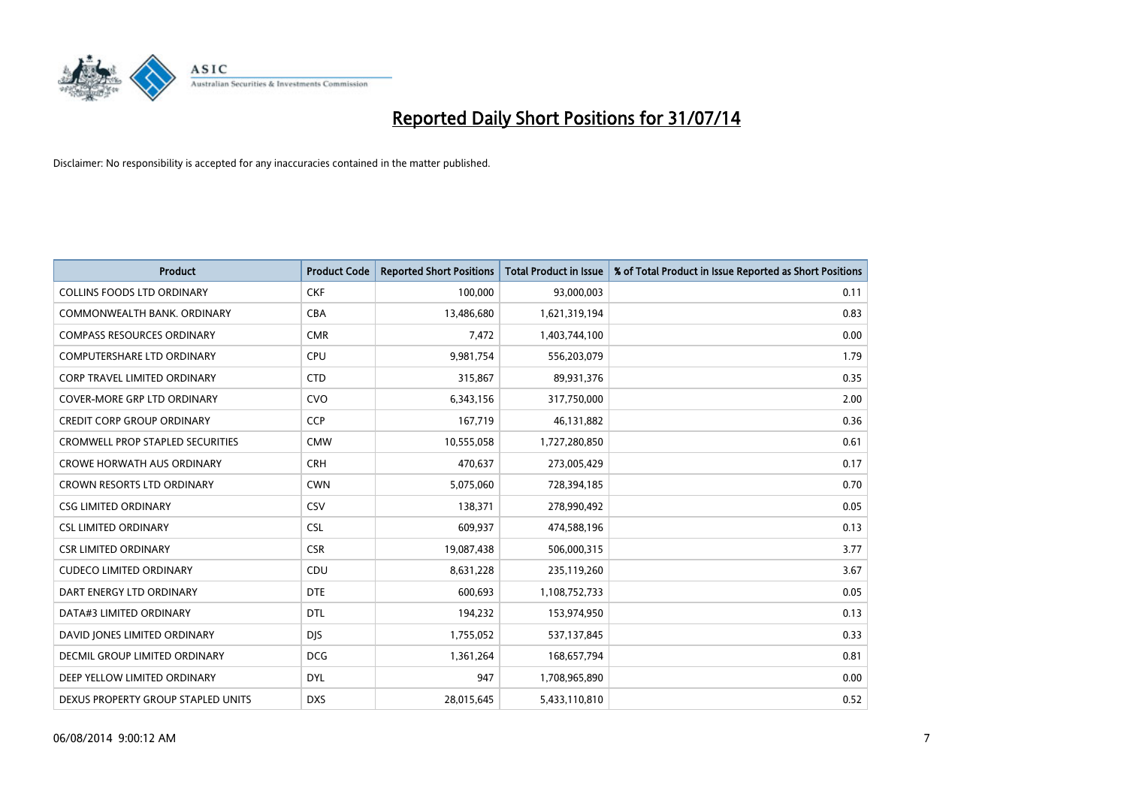

| <b>Product</b>                          | <b>Product Code</b> | <b>Reported Short Positions</b> | <b>Total Product in Issue</b> | % of Total Product in Issue Reported as Short Positions |
|-----------------------------------------|---------------------|---------------------------------|-------------------------------|---------------------------------------------------------|
| <b>COLLINS FOODS LTD ORDINARY</b>       | <b>CKF</b>          | 100,000                         | 93,000,003                    | 0.11                                                    |
| COMMONWEALTH BANK, ORDINARY             | <b>CBA</b>          | 13,486,680                      | 1,621,319,194                 | 0.83                                                    |
| <b>COMPASS RESOURCES ORDINARY</b>       | <b>CMR</b>          | 7,472                           | 1,403,744,100                 | 0.00                                                    |
| COMPUTERSHARE LTD ORDINARY              | <b>CPU</b>          | 9,981,754                       | 556,203,079                   | 1.79                                                    |
| <b>CORP TRAVEL LIMITED ORDINARY</b>     | <b>CTD</b>          | 315,867                         | 89,931,376                    | 0.35                                                    |
| <b>COVER-MORE GRP LTD ORDINARY</b>      | <b>CVO</b>          | 6,343,156                       | 317,750,000                   | 2.00                                                    |
| <b>CREDIT CORP GROUP ORDINARY</b>       | <b>CCP</b>          | 167,719                         | 46,131,882                    | 0.36                                                    |
| <b>CROMWELL PROP STAPLED SECURITIES</b> | <b>CMW</b>          | 10,555,058                      | 1,727,280,850                 | 0.61                                                    |
| <b>CROWE HORWATH AUS ORDINARY</b>       | <b>CRH</b>          | 470,637                         | 273,005,429                   | 0.17                                                    |
| <b>CROWN RESORTS LTD ORDINARY</b>       | <b>CWN</b>          | 5,075,060                       | 728,394,185                   | 0.70                                                    |
| <b>CSG LIMITED ORDINARY</b>             | CSV                 | 138,371                         | 278,990,492                   | 0.05                                                    |
| <b>CSL LIMITED ORDINARY</b>             | <b>CSL</b>          | 609,937                         | 474,588,196                   | 0.13                                                    |
| <b>CSR LIMITED ORDINARY</b>             | <b>CSR</b>          | 19,087,438                      | 506,000,315                   | 3.77                                                    |
| <b>CUDECO LIMITED ORDINARY</b>          | CDU                 | 8,631,228                       | 235,119,260                   | 3.67                                                    |
| DART ENERGY LTD ORDINARY                | <b>DTE</b>          | 600,693                         | 1,108,752,733                 | 0.05                                                    |
| DATA#3 LIMITED ORDINARY                 | <b>DTL</b>          | 194,232                         | 153,974,950                   | 0.13                                                    |
| DAVID JONES LIMITED ORDINARY            | <b>DIS</b>          | 1,755,052                       | 537,137,845                   | 0.33                                                    |
| DECMIL GROUP LIMITED ORDINARY           | <b>DCG</b>          | 1,361,264                       | 168,657,794                   | 0.81                                                    |
| DEEP YELLOW LIMITED ORDINARY            | <b>DYL</b>          | 947                             | 1,708,965,890                 | 0.00                                                    |
| DEXUS PROPERTY GROUP STAPLED UNITS      | <b>DXS</b>          | 28,015,645                      | 5,433,110,810                 | 0.52                                                    |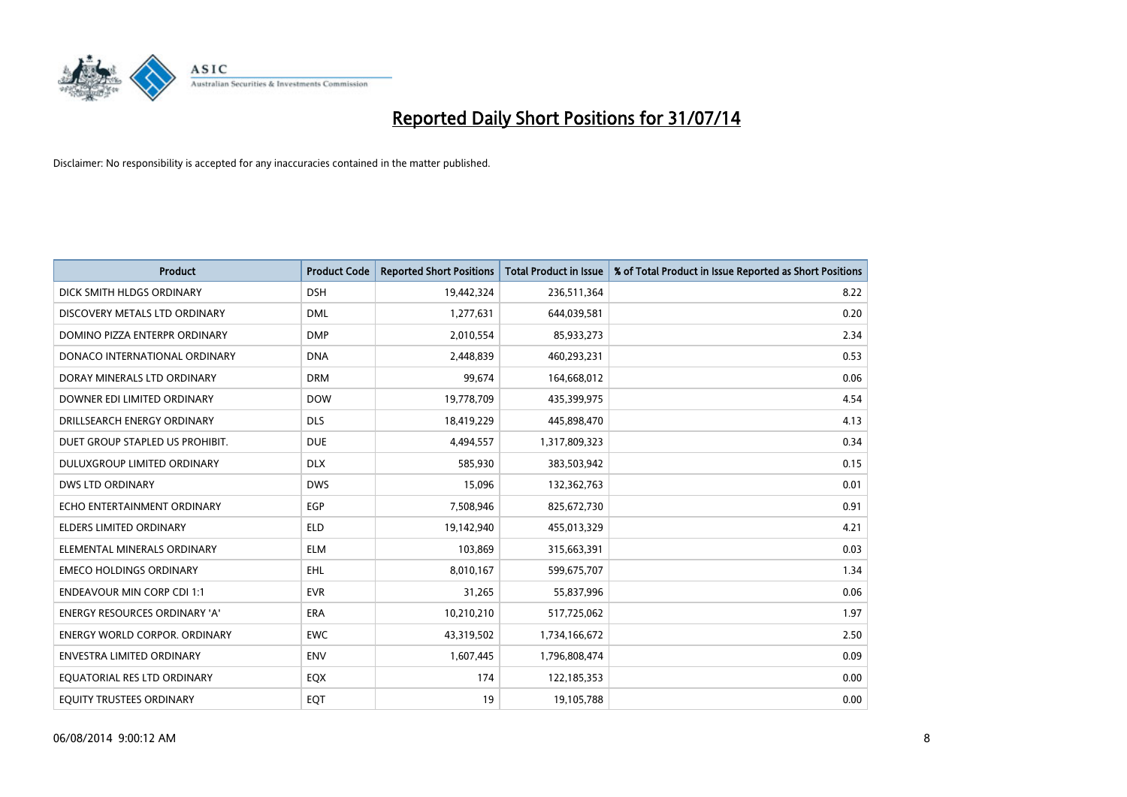

| <b>Product</b>                       | <b>Product Code</b> | <b>Reported Short Positions</b> | <b>Total Product in Issue</b> | % of Total Product in Issue Reported as Short Positions |
|--------------------------------------|---------------------|---------------------------------|-------------------------------|---------------------------------------------------------|
| DICK SMITH HLDGS ORDINARY            | <b>DSH</b>          | 19,442,324                      | 236,511,364                   | 8.22                                                    |
| DISCOVERY METALS LTD ORDINARY        | <b>DML</b>          | 1,277,631                       | 644,039,581                   | 0.20                                                    |
| DOMINO PIZZA ENTERPR ORDINARY        | <b>DMP</b>          | 2,010,554                       | 85,933,273                    | 2.34                                                    |
| DONACO INTERNATIONAL ORDINARY        | <b>DNA</b>          | 2,448,839                       | 460,293,231                   | 0.53                                                    |
| DORAY MINERALS LTD ORDINARY          | <b>DRM</b>          | 99,674                          | 164,668,012                   | 0.06                                                    |
| DOWNER EDI LIMITED ORDINARY          | <b>DOW</b>          | 19,778,709                      | 435,399,975                   | 4.54                                                    |
| DRILLSEARCH ENERGY ORDINARY          | <b>DLS</b>          | 18,419,229                      | 445,898,470                   | 4.13                                                    |
| DUET GROUP STAPLED US PROHIBIT.      | <b>DUE</b>          | 4,494,557                       | 1,317,809,323                 | 0.34                                                    |
| DULUXGROUP LIMITED ORDINARY          | <b>DLX</b>          | 585,930                         | 383,503,942                   | 0.15                                                    |
| <b>DWS LTD ORDINARY</b>              | <b>DWS</b>          | 15,096                          | 132,362,763                   | 0.01                                                    |
| ECHO ENTERTAINMENT ORDINARY          | <b>EGP</b>          | 7,508,946                       | 825,672,730                   | 0.91                                                    |
| <b>ELDERS LIMITED ORDINARY</b>       | <b>ELD</b>          | 19,142,940                      | 455,013,329                   | 4.21                                                    |
| ELEMENTAL MINERALS ORDINARY          | <b>ELM</b>          | 103,869                         | 315,663,391                   | 0.03                                                    |
| <b>EMECO HOLDINGS ORDINARY</b>       | EHL                 | 8,010,167                       | 599,675,707                   | 1.34                                                    |
| <b>ENDEAVOUR MIN CORP CDI 1:1</b>    | <b>EVR</b>          | 31,265                          | 55,837,996                    | 0.06                                                    |
| <b>ENERGY RESOURCES ORDINARY 'A'</b> | ERA                 | 10,210,210                      | 517,725,062                   | 1.97                                                    |
| <b>ENERGY WORLD CORPOR. ORDINARY</b> | <b>EWC</b>          | 43,319,502                      | 1,734,166,672                 | 2.50                                                    |
| ENVESTRA LIMITED ORDINARY            | <b>ENV</b>          | 1,607,445                       | 1,796,808,474                 | 0.09                                                    |
| EQUATORIAL RES LTD ORDINARY          | EQX                 | 174                             | 122,185,353                   | 0.00                                                    |
| EQUITY TRUSTEES ORDINARY             | EQT                 | 19                              | 19,105,788                    | 0.00                                                    |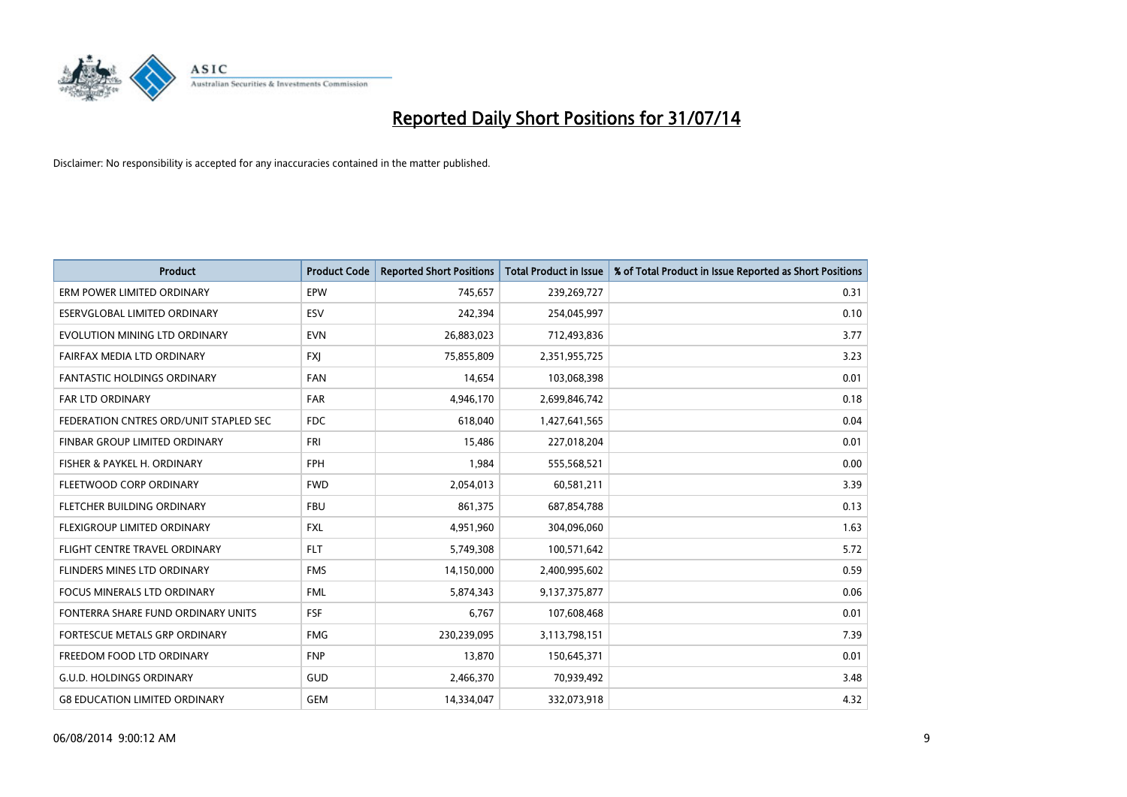

| <b>Product</b>                         | <b>Product Code</b> | <b>Reported Short Positions</b> | <b>Total Product in Issue</b> | % of Total Product in Issue Reported as Short Positions |
|----------------------------------------|---------------------|---------------------------------|-------------------------------|---------------------------------------------------------|
| ERM POWER LIMITED ORDINARY             | EPW                 | 745,657                         | 239,269,727                   | 0.31                                                    |
| ESERVGLOBAL LIMITED ORDINARY           | ESV                 | 242,394                         | 254,045,997                   | 0.10                                                    |
| EVOLUTION MINING LTD ORDINARY          | <b>EVN</b>          | 26,883,023                      | 712,493,836                   | 3.77                                                    |
| FAIRFAX MEDIA LTD ORDINARY             | FXJ                 | 75,855,809                      | 2,351,955,725                 | 3.23                                                    |
| <b>FANTASTIC HOLDINGS ORDINARY</b>     | <b>FAN</b>          | 14,654                          | 103,068,398                   | 0.01                                                    |
| <b>FAR LTD ORDINARY</b>                | <b>FAR</b>          | 4,946,170                       | 2,699,846,742                 | 0.18                                                    |
| FEDERATION CNTRES ORD/UNIT STAPLED SEC | FDC                 | 618,040                         | 1,427,641,565                 | 0.04                                                    |
| FINBAR GROUP LIMITED ORDINARY          | <b>FRI</b>          | 15,486                          | 227,018,204                   | 0.01                                                    |
| FISHER & PAYKEL H. ORDINARY            | <b>FPH</b>          | 1,984                           | 555,568,521                   | 0.00                                                    |
| FLEETWOOD CORP ORDINARY                | <b>FWD</b>          | 2,054,013                       | 60,581,211                    | 3.39                                                    |
| FLETCHER BUILDING ORDINARY             | <b>FBU</b>          | 861,375                         | 687,854,788                   | 0.13                                                    |
| FLEXIGROUP LIMITED ORDINARY            | FXL                 | 4,951,960                       | 304,096,060                   | 1.63                                                    |
| FLIGHT CENTRE TRAVEL ORDINARY          | <b>FLT</b>          | 5,749,308                       | 100,571,642                   | 5.72                                                    |
| <b>FLINDERS MINES LTD ORDINARY</b>     | <b>FMS</b>          | 14,150,000                      | 2,400,995,602                 | 0.59                                                    |
| <b>FOCUS MINERALS LTD ORDINARY</b>     | <b>FML</b>          | 5,874,343                       | 9,137,375,877                 | 0.06                                                    |
| FONTERRA SHARE FUND ORDINARY UNITS     | <b>FSF</b>          | 6,767                           | 107,608,468                   | 0.01                                                    |
| FORTESCUE METALS GRP ORDINARY          | <b>FMG</b>          | 230,239,095                     | 3,113,798,151                 | 7.39                                                    |
| FREEDOM FOOD LTD ORDINARY              | <b>FNP</b>          | 13,870                          | 150,645,371                   | 0.01                                                    |
| <b>G.U.D. HOLDINGS ORDINARY</b>        | GUD                 | 2,466,370                       | 70,939,492                    | 3.48                                                    |
| <b>G8 EDUCATION LIMITED ORDINARY</b>   | <b>GEM</b>          | 14,334,047                      | 332,073,918                   | 4.32                                                    |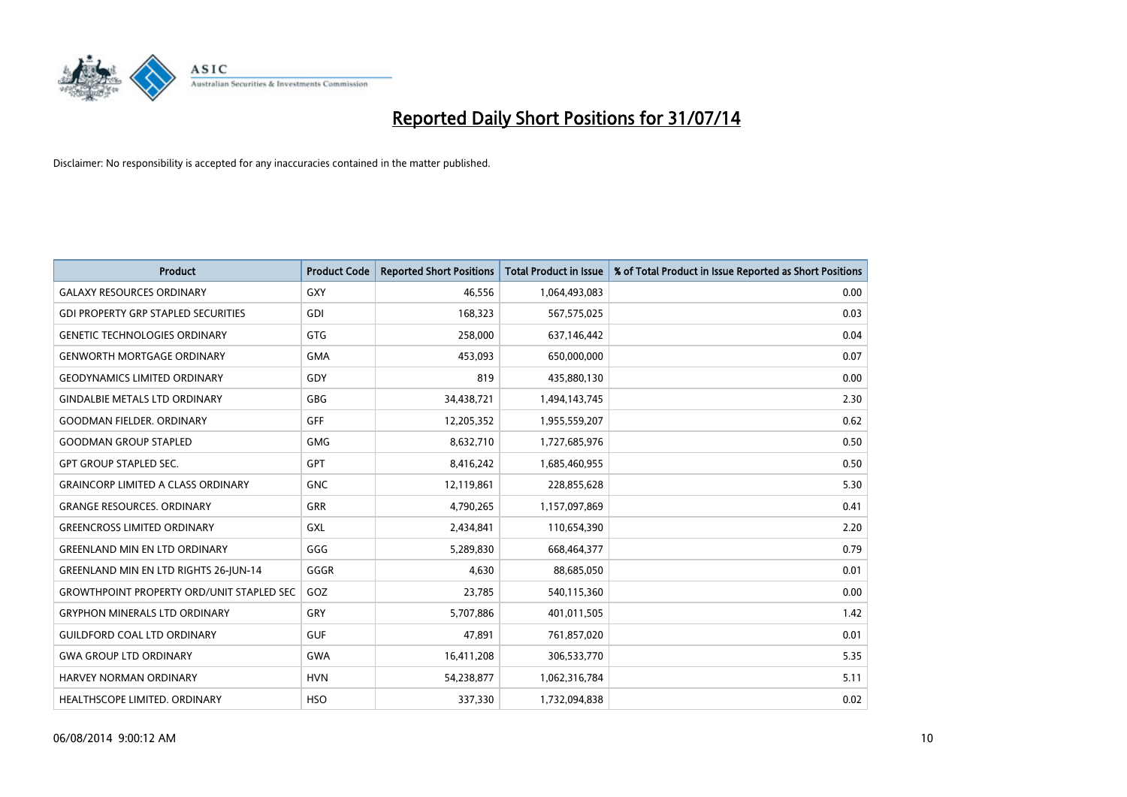

| <b>Product</b>                                   | <b>Product Code</b> | <b>Reported Short Positions</b> | <b>Total Product in Issue</b> | % of Total Product in Issue Reported as Short Positions |
|--------------------------------------------------|---------------------|---------------------------------|-------------------------------|---------------------------------------------------------|
| <b>GALAXY RESOURCES ORDINARY</b>                 | GXY                 | 46,556                          | 1,064,493,083                 | 0.00                                                    |
| <b>GDI PROPERTY GRP STAPLED SECURITIES</b>       | GDI                 | 168,323                         | 567,575,025                   | 0.03                                                    |
| <b>GENETIC TECHNOLOGIES ORDINARY</b>             | GTG                 | 258,000                         | 637,146,442                   | 0.04                                                    |
| <b>GENWORTH MORTGAGE ORDINARY</b>                | <b>GMA</b>          | 453,093                         | 650,000,000                   | 0.07                                                    |
| <b>GEODYNAMICS LIMITED ORDINARY</b>              | GDY                 | 819                             | 435,880,130                   | 0.00                                                    |
| <b>GINDALBIE METALS LTD ORDINARY</b>             | GBG                 | 34,438,721                      | 1,494,143,745                 | 2.30                                                    |
| <b>GOODMAN FIELDER, ORDINARY</b>                 | <b>GFF</b>          | 12,205,352                      | 1,955,559,207                 | 0.62                                                    |
| <b>GOODMAN GROUP STAPLED</b>                     | <b>GMG</b>          | 8,632,710                       | 1,727,685,976                 | 0.50                                                    |
| <b>GPT GROUP STAPLED SEC.</b>                    | GPT                 | 8,416,242                       | 1,685,460,955                 | 0.50                                                    |
| <b>GRAINCORP LIMITED A CLASS ORDINARY</b>        | <b>GNC</b>          | 12,119,861                      | 228,855,628                   | 5.30                                                    |
| <b>GRANGE RESOURCES. ORDINARY</b>                | GRR                 | 4,790,265                       | 1,157,097,869                 | 0.41                                                    |
| <b>GREENCROSS LIMITED ORDINARY</b>               | <b>GXL</b>          | 2,434,841                       | 110,654,390                   | 2.20                                                    |
| <b>GREENLAND MIN EN LTD ORDINARY</b>             | GGG                 | 5,289,830                       | 668,464,377                   | 0.79                                                    |
| <b>GREENLAND MIN EN LTD RIGHTS 26-JUN-14</b>     | GGGR                | 4,630                           | 88,685,050                    | 0.01                                                    |
| <b>GROWTHPOINT PROPERTY ORD/UNIT STAPLED SEC</b> | GOZ                 | 23,785                          | 540,115,360                   | 0.00                                                    |
| <b>GRYPHON MINERALS LTD ORDINARY</b>             | GRY                 | 5,707,886                       | 401,011,505                   | 1.42                                                    |
| <b>GUILDFORD COAL LTD ORDINARY</b>               | <b>GUF</b>          | 47,891                          | 761,857,020                   | 0.01                                                    |
| <b>GWA GROUP LTD ORDINARY</b>                    | <b>GWA</b>          | 16,411,208                      | 306,533,770                   | 5.35                                                    |
| HARVEY NORMAN ORDINARY                           | <b>HVN</b>          | 54,238,877                      | 1,062,316,784                 | 5.11                                                    |
| <b>HEALTHSCOPE LIMITED, ORDINARY</b>             | <b>HSO</b>          | 337,330                         | 1,732,094,838                 | 0.02                                                    |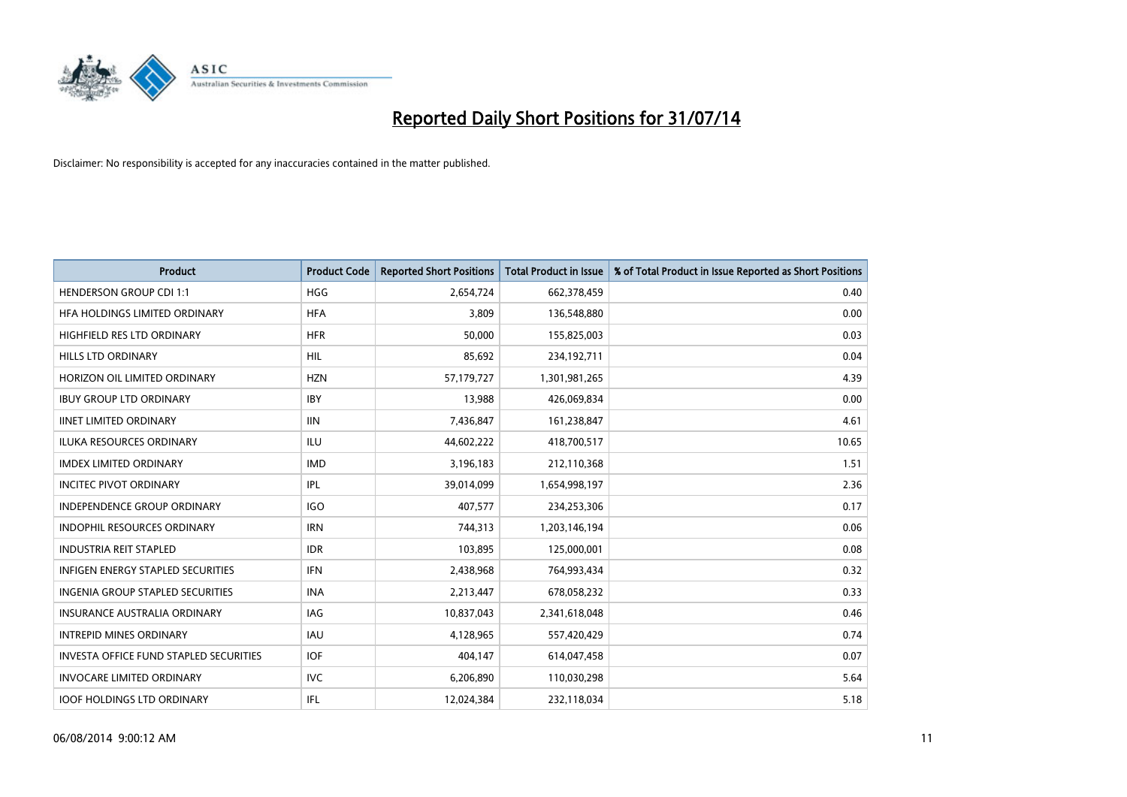

| Product                                       | <b>Product Code</b> | <b>Reported Short Positions</b> | <b>Total Product in Issue</b> | % of Total Product in Issue Reported as Short Positions |
|-----------------------------------------------|---------------------|---------------------------------|-------------------------------|---------------------------------------------------------|
| <b>HENDERSON GROUP CDI 1:1</b>                | <b>HGG</b>          | 2,654,724                       | 662,378,459                   | 0.40                                                    |
| HFA HOLDINGS LIMITED ORDINARY                 | <b>HFA</b>          | 3,809                           | 136,548,880                   | 0.00                                                    |
| HIGHFIELD RES LTD ORDINARY                    | <b>HFR</b>          | 50,000                          | 155,825,003                   | 0.03                                                    |
| HILLS LTD ORDINARY                            | HIL                 | 85,692                          | 234,192,711                   | 0.04                                                    |
| HORIZON OIL LIMITED ORDINARY                  | <b>HZN</b>          | 57,179,727                      | 1,301,981,265                 | 4.39                                                    |
| <b>IBUY GROUP LTD ORDINARY</b>                | <b>IBY</b>          | 13,988                          | 426,069,834                   | 0.00                                                    |
| <b>IINET LIMITED ORDINARY</b>                 | <b>IIN</b>          | 7,436,847                       | 161,238,847                   | 4.61                                                    |
| <b>ILUKA RESOURCES ORDINARY</b>               | <b>ILU</b>          | 44,602,222                      | 418,700,517                   | 10.65                                                   |
| <b>IMDEX LIMITED ORDINARY</b>                 | <b>IMD</b>          | 3,196,183                       | 212,110,368                   | 1.51                                                    |
| <b>INCITEC PIVOT ORDINARY</b>                 | IPL                 | 39,014,099                      | 1,654,998,197                 | 2.36                                                    |
| <b>INDEPENDENCE GROUP ORDINARY</b>            | <b>IGO</b>          | 407,577                         | 234,253,306                   | 0.17                                                    |
| <b>INDOPHIL RESOURCES ORDINARY</b>            | <b>IRN</b>          | 744,313                         | 1,203,146,194                 | 0.06                                                    |
| <b>INDUSTRIA REIT STAPLED</b>                 | <b>IDR</b>          | 103.895                         | 125,000,001                   | 0.08                                                    |
| <b>INFIGEN ENERGY STAPLED SECURITIES</b>      | <b>IFN</b>          | 2,438,968                       | 764,993,434                   | 0.32                                                    |
| <b>INGENIA GROUP STAPLED SECURITIES</b>       | <b>INA</b>          | 2,213,447                       | 678,058,232                   | 0.33                                                    |
| <b>INSURANCE AUSTRALIA ORDINARY</b>           | IAG                 | 10,837,043                      | 2,341,618,048                 | 0.46                                                    |
| <b>INTREPID MINES ORDINARY</b>                | <b>IAU</b>          | 4,128,965                       | 557,420,429                   | 0.74                                                    |
| <b>INVESTA OFFICE FUND STAPLED SECURITIES</b> | <b>IOF</b>          | 404,147                         | 614,047,458                   | 0.07                                                    |
| <b>INVOCARE LIMITED ORDINARY</b>              | <b>IVC</b>          | 6,206,890                       | 110,030,298                   | 5.64                                                    |
| <b>IOOF HOLDINGS LTD ORDINARY</b>             | IFL                 | 12,024,384                      | 232,118,034                   | 5.18                                                    |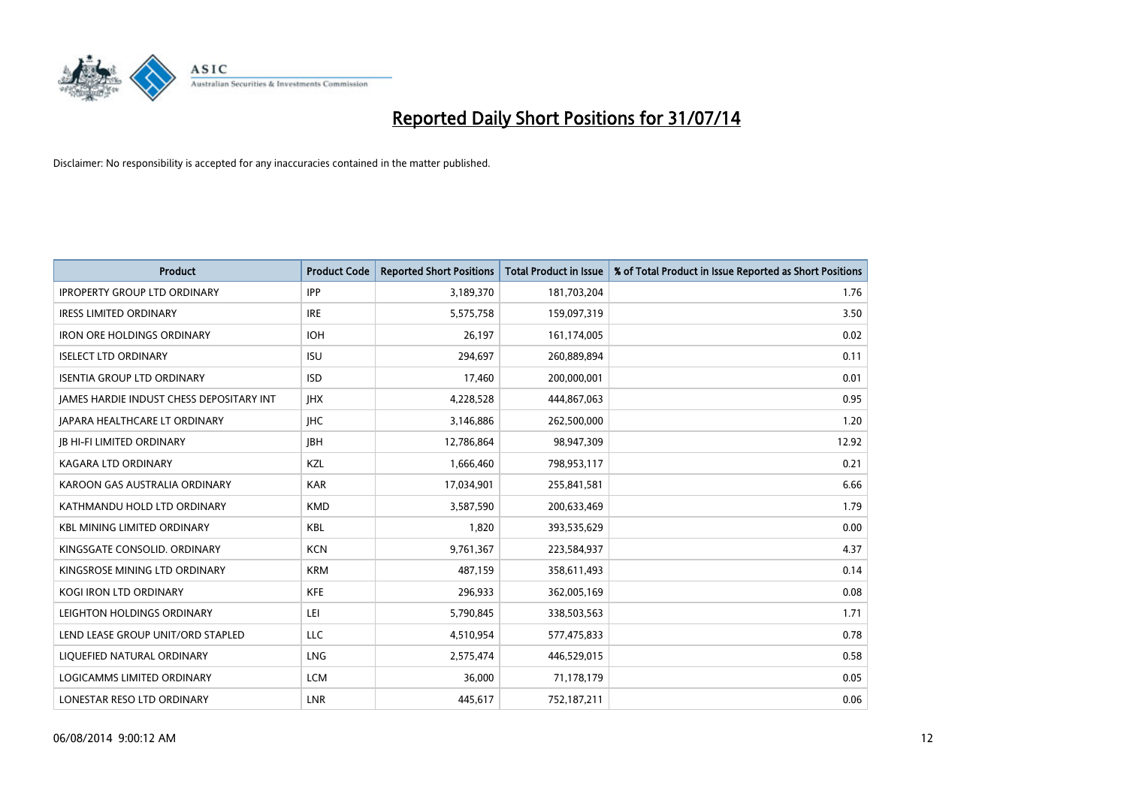

| <b>Product</b>                           | <b>Product Code</b> | <b>Reported Short Positions</b> | <b>Total Product in Issue</b> | % of Total Product in Issue Reported as Short Positions |
|------------------------------------------|---------------------|---------------------------------|-------------------------------|---------------------------------------------------------|
| <b>IPROPERTY GROUP LTD ORDINARY</b>      | <b>IPP</b>          | 3,189,370                       | 181,703,204                   | 1.76                                                    |
| <b>IRESS LIMITED ORDINARY</b>            | <b>IRE</b>          | 5,575,758                       | 159,097,319                   | 3.50                                                    |
| <b>IRON ORE HOLDINGS ORDINARY</b>        | <b>IOH</b>          | 26,197                          | 161,174,005                   | 0.02                                                    |
| <b>ISELECT LTD ORDINARY</b>              | <b>ISU</b>          | 294,697                         | 260,889,894                   | 0.11                                                    |
| <b>ISENTIA GROUP LTD ORDINARY</b>        | <b>ISD</b>          | 17,460                          | 200,000,001                   | 0.01                                                    |
| JAMES HARDIE INDUST CHESS DEPOSITARY INT | <b>IHX</b>          | 4,228,528                       | 444,867,063                   | 0.95                                                    |
| JAPARA HEALTHCARE LT ORDINARY            | <b>IHC</b>          | 3,146,886                       | 262,500,000                   | 1.20                                                    |
| <b>JB HI-FI LIMITED ORDINARY</b>         | <b>JBH</b>          | 12,786,864                      | 98,947,309                    | 12.92                                                   |
| <b>KAGARA LTD ORDINARY</b>               | KZL                 | 1,666,460                       | 798,953,117                   | 0.21                                                    |
| KAROON GAS AUSTRALIA ORDINARY            | <b>KAR</b>          | 17,034,901                      | 255,841,581                   | 6.66                                                    |
| KATHMANDU HOLD LTD ORDINARY              | <b>KMD</b>          | 3,587,590                       | 200,633,469                   | 1.79                                                    |
| <b>KBL MINING LIMITED ORDINARY</b>       | <b>KBL</b>          | 1,820                           | 393,535,629                   | 0.00                                                    |
| KINGSGATE CONSOLID. ORDINARY             | <b>KCN</b>          | 9,761,367                       | 223,584,937                   | 4.37                                                    |
| KINGSROSE MINING LTD ORDINARY            | <b>KRM</b>          | 487,159                         | 358,611,493                   | 0.14                                                    |
| <b>KOGI IRON LTD ORDINARY</b>            | <b>KFE</b>          | 296,933                         | 362,005,169                   | 0.08                                                    |
| LEIGHTON HOLDINGS ORDINARY               | LEI                 | 5,790,845                       | 338,503,563                   | 1.71                                                    |
| LEND LEASE GROUP UNIT/ORD STAPLED        | LLC                 | 4,510,954                       | 577,475,833                   | 0.78                                                    |
| LIQUEFIED NATURAL ORDINARY               | <b>LNG</b>          | 2,575,474                       | 446,529,015                   | 0.58                                                    |
| <b>LOGICAMMS LIMITED ORDINARY</b>        | <b>LCM</b>          | 36,000                          | 71,178,179                    | 0.05                                                    |
| LONESTAR RESO LTD ORDINARY               | LNR                 | 445,617                         | 752,187,211                   | 0.06                                                    |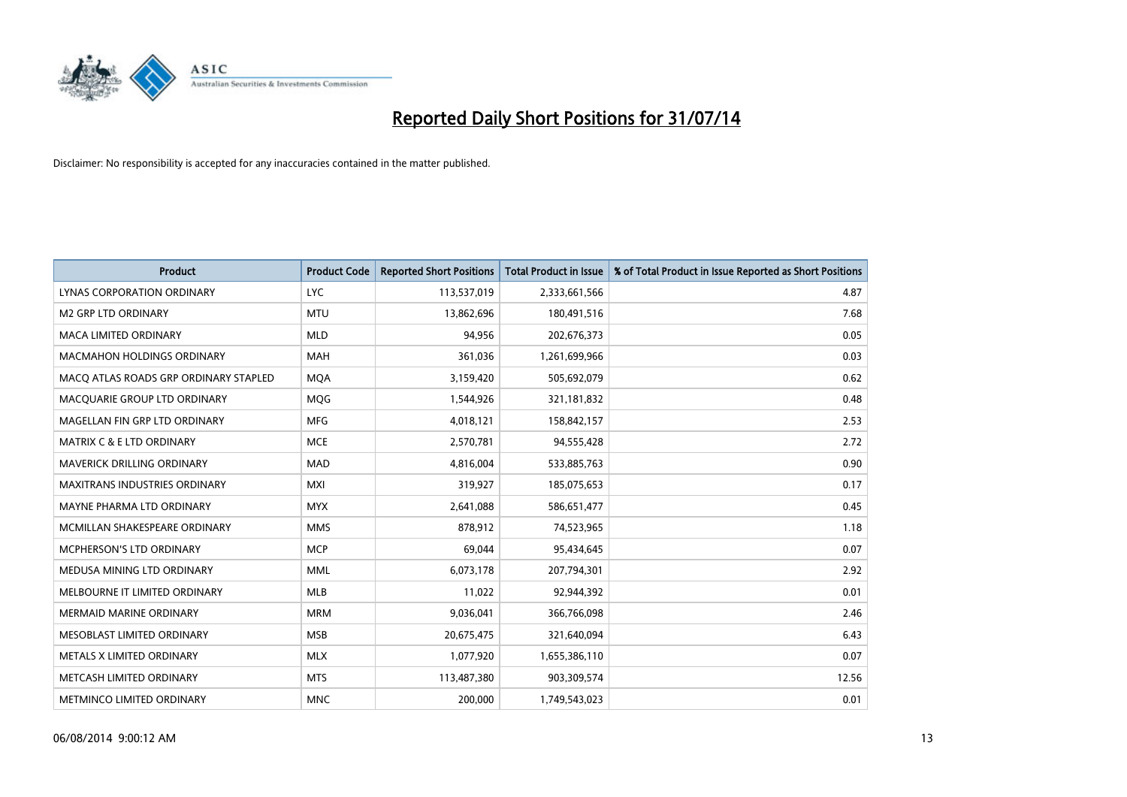

| <b>Product</b>                        | <b>Product Code</b> | <b>Reported Short Positions</b> | <b>Total Product in Issue</b> | % of Total Product in Issue Reported as Short Positions |
|---------------------------------------|---------------------|---------------------------------|-------------------------------|---------------------------------------------------------|
| LYNAS CORPORATION ORDINARY            | <b>LYC</b>          | 113,537,019                     | 2,333,661,566                 | 4.87                                                    |
| <b>M2 GRP LTD ORDINARY</b>            | <b>MTU</b>          | 13,862,696                      | 180,491,516                   | 7.68                                                    |
| <b>MACA LIMITED ORDINARY</b>          | <b>MLD</b>          | 94,956                          | 202,676,373                   | 0.05                                                    |
| MACMAHON HOLDINGS ORDINARY            | <b>MAH</b>          | 361,036                         | 1,261,699,966                 | 0.03                                                    |
| MACO ATLAS ROADS GRP ORDINARY STAPLED | <b>MOA</b>          | 3,159,420                       | 505,692,079                   | 0.62                                                    |
| MACQUARIE GROUP LTD ORDINARY          | MQG                 | 1,544,926                       | 321,181,832                   | 0.48                                                    |
| MAGELLAN FIN GRP LTD ORDINARY         | <b>MFG</b>          | 4,018,121                       | 158,842,157                   | 2.53                                                    |
| <b>MATRIX C &amp; E LTD ORDINARY</b>  | <b>MCE</b>          | 2,570,781                       | 94,555,428                    | 2.72                                                    |
| <b>MAVERICK DRILLING ORDINARY</b>     | <b>MAD</b>          | 4,816,004                       | 533,885,763                   | 0.90                                                    |
| <b>MAXITRANS INDUSTRIES ORDINARY</b>  | <b>MXI</b>          | 319,927                         | 185,075,653                   | 0.17                                                    |
| MAYNE PHARMA LTD ORDINARY             | <b>MYX</b>          | 2,641,088                       | 586,651,477                   | 0.45                                                    |
| MCMILLAN SHAKESPEARE ORDINARY         | <b>MMS</b>          | 878,912                         | 74,523,965                    | 1.18                                                    |
| MCPHERSON'S LTD ORDINARY              | <b>MCP</b>          | 69,044                          | 95,434,645                    | 0.07                                                    |
| MEDUSA MINING LTD ORDINARY            | <b>MML</b>          | 6,073,178                       | 207,794,301                   | 2.92                                                    |
| MELBOURNE IT LIMITED ORDINARY         | <b>MLB</b>          | 11,022                          | 92,944,392                    | 0.01                                                    |
| <b>MERMAID MARINE ORDINARY</b>        | <b>MRM</b>          | 9,036,041                       | 366,766,098                   | 2.46                                                    |
| MESOBLAST LIMITED ORDINARY            | <b>MSB</b>          | 20,675,475                      | 321,640,094                   | 6.43                                                    |
| METALS X LIMITED ORDINARY             | <b>MLX</b>          | 1,077,920                       | 1,655,386,110                 | 0.07                                                    |
| METCASH LIMITED ORDINARY              | <b>MTS</b>          | 113,487,380                     | 903,309,574                   | 12.56                                                   |
| METMINCO LIMITED ORDINARY             | <b>MNC</b>          | 200,000                         | 1,749,543,023                 | 0.01                                                    |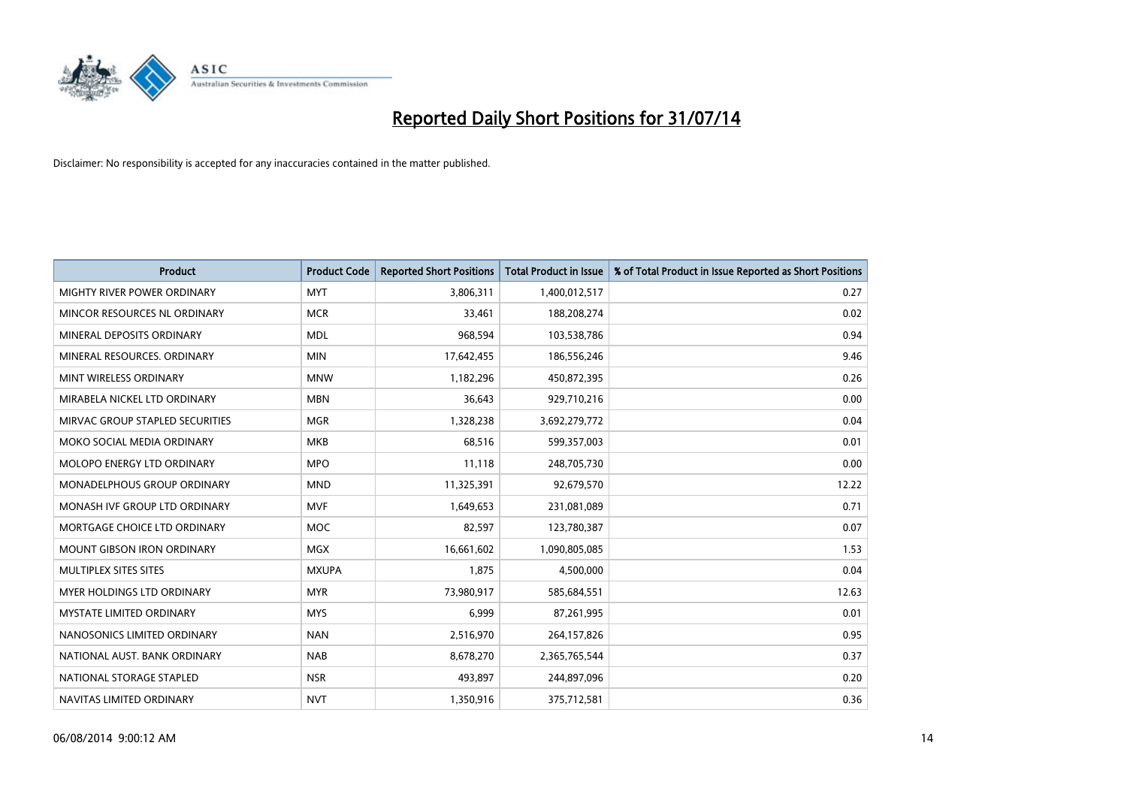

| <b>Product</b>                  | <b>Product Code</b> | <b>Reported Short Positions</b> | <b>Total Product in Issue</b> | % of Total Product in Issue Reported as Short Positions |
|---------------------------------|---------------------|---------------------------------|-------------------------------|---------------------------------------------------------|
| MIGHTY RIVER POWER ORDINARY     | <b>MYT</b>          | 3,806,311                       | 1,400,012,517                 | 0.27                                                    |
| MINCOR RESOURCES NL ORDINARY    | <b>MCR</b>          | 33,461                          | 188,208,274                   | 0.02                                                    |
| MINERAL DEPOSITS ORDINARY       | <b>MDL</b>          | 968,594                         | 103,538,786                   | 0.94                                                    |
| MINERAL RESOURCES, ORDINARY     | <b>MIN</b>          | 17,642,455                      | 186,556,246                   | 9.46                                                    |
| MINT WIRELESS ORDINARY          | <b>MNW</b>          | 1,182,296                       | 450,872,395                   | 0.26                                                    |
| MIRABELA NICKEL LTD ORDINARY    | <b>MBN</b>          | 36,643                          | 929,710,216                   | 0.00                                                    |
| MIRVAC GROUP STAPLED SECURITIES | <b>MGR</b>          | 1,328,238                       | 3,692,279,772                 | 0.04                                                    |
| MOKO SOCIAL MEDIA ORDINARY      | <b>MKB</b>          | 68,516                          | 599,357,003                   | 0.01                                                    |
| MOLOPO ENERGY LTD ORDINARY      | <b>MPO</b>          | 11,118                          | 248,705,730                   | 0.00                                                    |
| MONADELPHOUS GROUP ORDINARY     | <b>MND</b>          | 11,325,391                      | 92,679,570                    | 12.22                                                   |
| MONASH IVF GROUP LTD ORDINARY   | <b>MVF</b>          | 1,649,653                       | 231,081,089                   | 0.71                                                    |
| MORTGAGE CHOICE LTD ORDINARY    | <b>MOC</b>          | 82,597                          | 123,780,387                   | 0.07                                                    |
| MOUNT GIBSON IRON ORDINARY      | <b>MGX</b>          | 16,661,602                      | 1,090,805,085                 | 1.53                                                    |
| MULTIPLEX SITES SITES           | <b>MXUPA</b>        | 1,875                           | 4,500,000                     | 0.04                                                    |
| MYER HOLDINGS LTD ORDINARY      | <b>MYR</b>          | 73,980,917                      | 585,684,551                   | 12.63                                                   |
| <b>MYSTATE LIMITED ORDINARY</b> | <b>MYS</b>          | 6,999                           | 87,261,995                    | 0.01                                                    |
| NANOSONICS LIMITED ORDINARY     | <b>NAN</b>          | 2,516,970                       | 264,157,826                   | 0.95                                                    |
| NATIONAL AUST, BANK ORDINARY    | <b>NAB</b>          | 8,678,270                       | 2,365,765,544                 | 0.37                                                    |
| NATIONAL STORAGE STAPLED        | <b>NSR</b>          | 493,897                         | 244,897,096                   | 0.20                                                    |
| NAVITAS LIMITED ORDINARY        | <b>NVT</b>          | 1,350,916                       | 375,712,581                   | 0.36                                                    |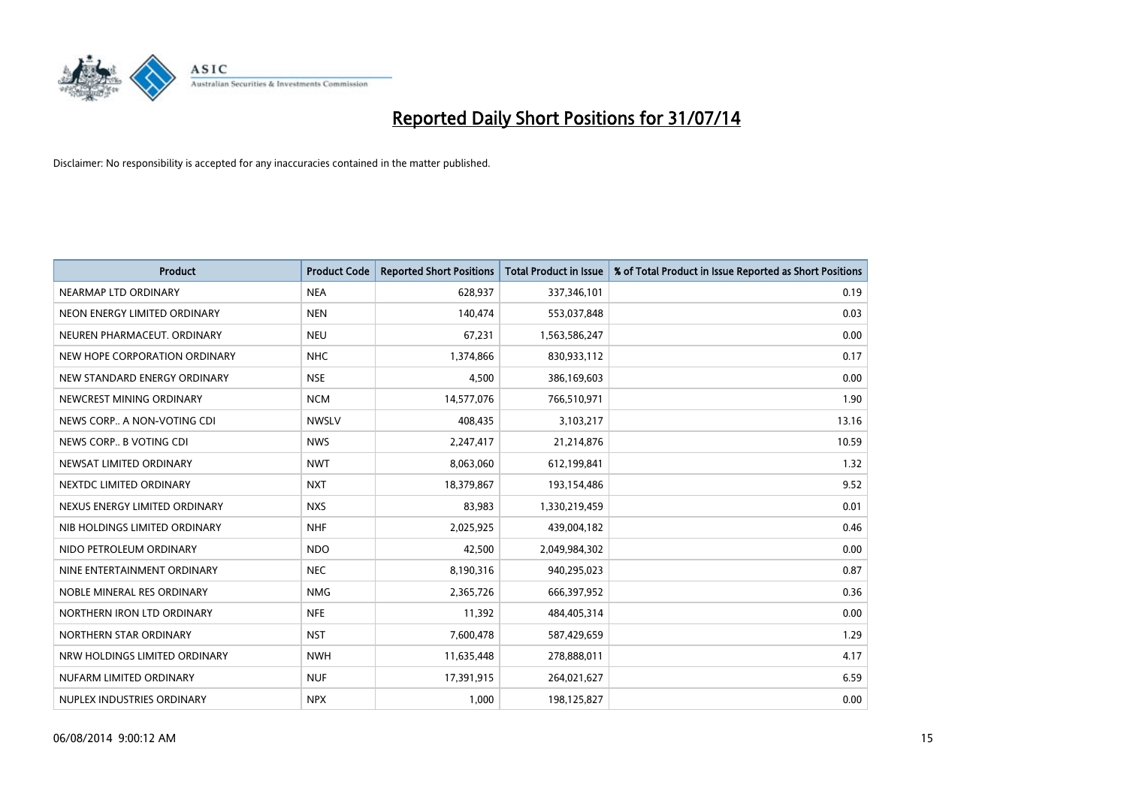

| <b>Product</b>                | <b>Product Code</b> | <b>Reported Short Positions</b> | <b>Total Product in Issue</b> | % of Total Product in Issue Reported as Short Positions |
|-------------------------------|---------------------|---------------------------------|-------------------------------|---------------------------------------------------------|
| NEARMAP LTD ORDINARY          | <b>NEA</b>          | 628,937                         | 337,346,101                   | 0.19                                                    |
| NEON ENERGY LIMITED ORDINARY  | <b>NEN</b>          | 140,474                         | 553,037,848                   | 0.03                                                    |
| NEUREN PHARMACEUT, ORDINARY   | <b>NEU</b>          | 67,231                          | 1,563,586,247                 | 0.00                                                    |
| NEW HOPE CORPORATION ORDINARY | <b>NHC</b>          | 1,374,866                       | 830,933,112                   | 0.17                                                    |
| NEW STANDARD ENERGY ORDINARY  | <b>NSE</b>          | 4,500                           | 386,169,603                   | 0.00                                                    |
| NEWCREST MINING ORDINARY      | <b>NCM</b>          | 14,577,076                      | 766,510,971                   | 1.90                                                    |
| NEWS CORP A NON-VOTING CDI    | <b>NWSLV</b>        | 408,435                         | 3,103,217                     | 13.16                                                   |
| NEWS CORP B VOTING CDI        | <b>NWS</b>          | 2,247,417                       | 21,214,876                    | 10.59                                                   |
| NEWSAT LIMITED ORDINARY       | <b>NWT</b>          | 8,063,060                       | 612,199,841                   | 1.32                                                    |
| NEXTDC LIMITED ORDINARY       | <b>NXT</b>          | 18,379,867                      | 193,154,486                   | 9.52                                                    |
| NEXUS ENERGY LIMITED ORDINARY | <b>NXS</b>          | 83,983                          | 1,330,219,459                 | 0.01                                                    |
| NIB HOLDINGS LIMITED ORDINARY | <b>NHF</b>          | 2,025,925                       | 439,004,182                   | 0.46                                                    |
| NIDO PETROLEUM ORDINARY       | <b>NDO</b>          | 42,500                          | 2,049,984,302                 | 0.00                                                    |
| NINE ENTERTAINMENT ORDINARY   | <b>NEC</b>          | 8,190,316                       | 940,295,023                   | 0.87                                                    |
| NOBLE MINERAL RES ORDINARY    | <b>NMG</b>          | 2,365,726                       | 666,397,952                   | 0.36                                                    |
| NORTHERN IRON LTD ORDINARY    | <b>NFE</b>          | 11,392                          | 484,405,314                   | 0.00                                                    |
| NORTHERN STAR ORDINARY        | <b>NST</b>          | 7,600,478                       | 587,429,659                   | 1.29                                                    |
| NRW HOLDINGS LIMITED ORDINARY | <b>NWH</b>          | 11,635,448                      | 278,888,011                   | 4.17                                                    |
| NUFARM LIMITED ORDINARY       | <b>NUF</b>          | 17,391,915                      | 264,021,627                   | 6.59                                                    |
| NUPLEX INDUSTRIES ORDINARY    | <b>NPX</b>          | 1,000                           | 198,125,827                   | 0.00                                                    |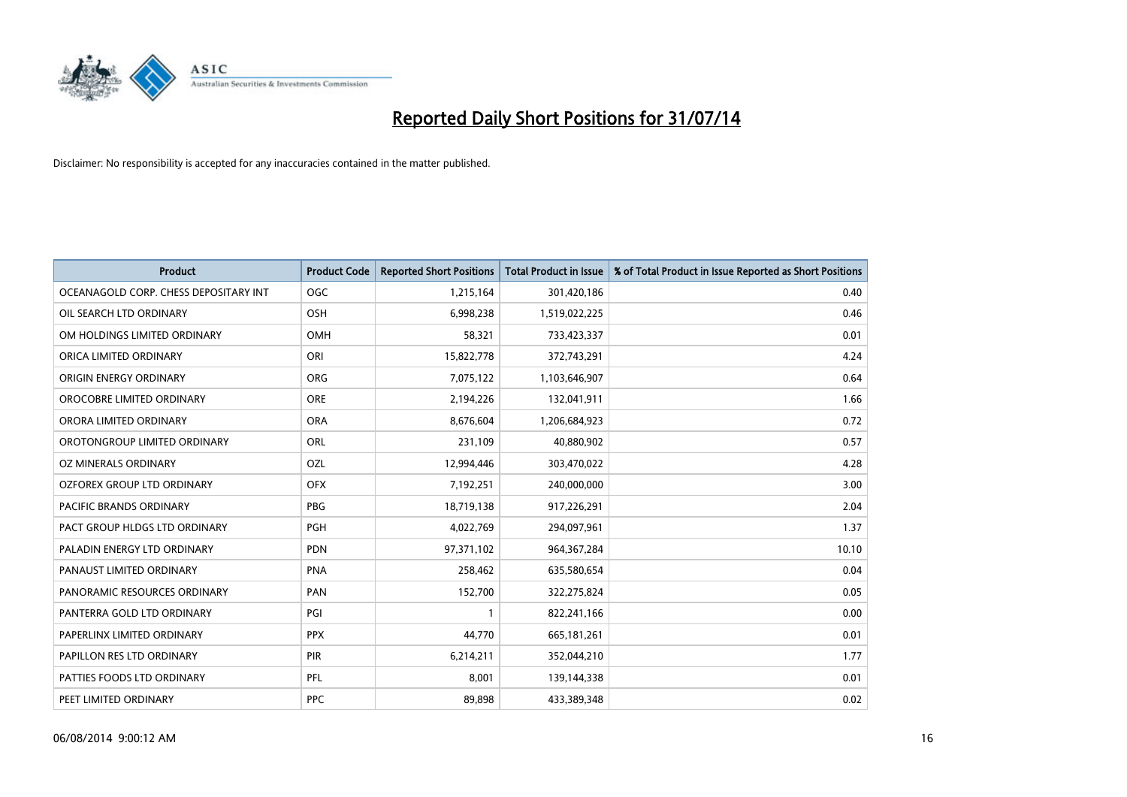

| <b>Product</b>                        | <b>Product Code</b> | <b>Reported Short Positions</b> | <b>Total Product in Issue</b> | % of Total Product in Issue Reported as Short Positions |
|---------------------------------------|---------------------|---------------------------------|-------------------------------|---------------------------------------------------------|
| OCEANAGOLD CORP. CHESS DEPOSITARY INT | <b>OGC</b>          | 1,215,164                       | 301,420,186                   | 0.40                                                    |
| OIL SEARCH LTD ORDINARY               | OSH                 | 6,998,238                       | 1,519,022,225                 | 0.46                                                    |
| OM HOLDINGS LIMITED ORDINARY          | OMH                 | 58,321                          | 733,423,337                   | 0.01                                                    |
| ORICA LIMITED ORDINARY                | ORI                 | 15,822,778                      | 372,743,291                   | 4.24                                                    |
| ORIGIN ENERGY ORDINARY                | <b>ORG</b>          | 7,075,122                       | 1,103,646,907                 | 0.64                                                    |
| OROCOBRE LIMITED ORDINARY             | <b>ORE</b>          | 2,194,226                       | 132,041,911                   | 1.66                                                    |
| ORORA LIMITED ORDINARY                | <b>ORA</b>          | 8,676,604                       | 1,206,684,923                 | 0.72                                                    |
| OROTONGROUP LIMITED ORDINARY          | ORL                 | 231,109                         | 40,880,902                    | 0.57                                                    |
| <b>OZ MINERALS ORDINARY</b>           | OZL                 | 12,994,446                      | 303,470,022                   | 4.28                                                    |
| OZFOREX GROUP LTD ORDINARY            | <b>OFX</b>          | 7,192,251                       | 240,000,000                   | 3.00                                                    |
| PACIFIC BRANDS ORDINARY               | <b>PBG</b>          | 18,719,138                      | 917,226,291                   | 2.04                                                    |
| PACT GROUP HLDGS LTD ORDINARY         | PGH                 | 4,022,769                       | 294,097,961                   | 1.37                                                    |
| PALADIN ENERGY LTD ORDINARY           | <b>PDN</b>          | 97,371,102                      | 964, 367, 284                 | 10.10                                                   |
| PANAUST LIMITED ORDINARY              | <b>PNA</b>          | 258,462                         | 635,580,654                   | 0.04                                                    |
| PANORAMIC RESOURCES ORDINARY          | PAN                 | 152,700                         | 322,275,824                   | 0.05                                                    |
| PANTERRA GOLD LTD ORDINARY            | PGI                 |                                 | 822,241,166                   | 0.00                                                    |
| PAPERLINX LIMITED ORDINARY            | <b>PPX</b>          | 44,770                          | 665, 181, 261                 | 0.01                                                    |
| PAPILLON RES LTD ORDINARY             | PIR                 | 6,214,211                       | 352,044,210                   | 1.77                                                    |
| PATTIES FOODS LTD ORDINARY            | <b>PFL</b>          | 8,001                           | 139,144,338                   | 0.01                                                    |
| PEET LIMITED ORDINARY                 | <b>PPC</b>          | 89,898                          | 433,389,348                   | 0.02                                                    |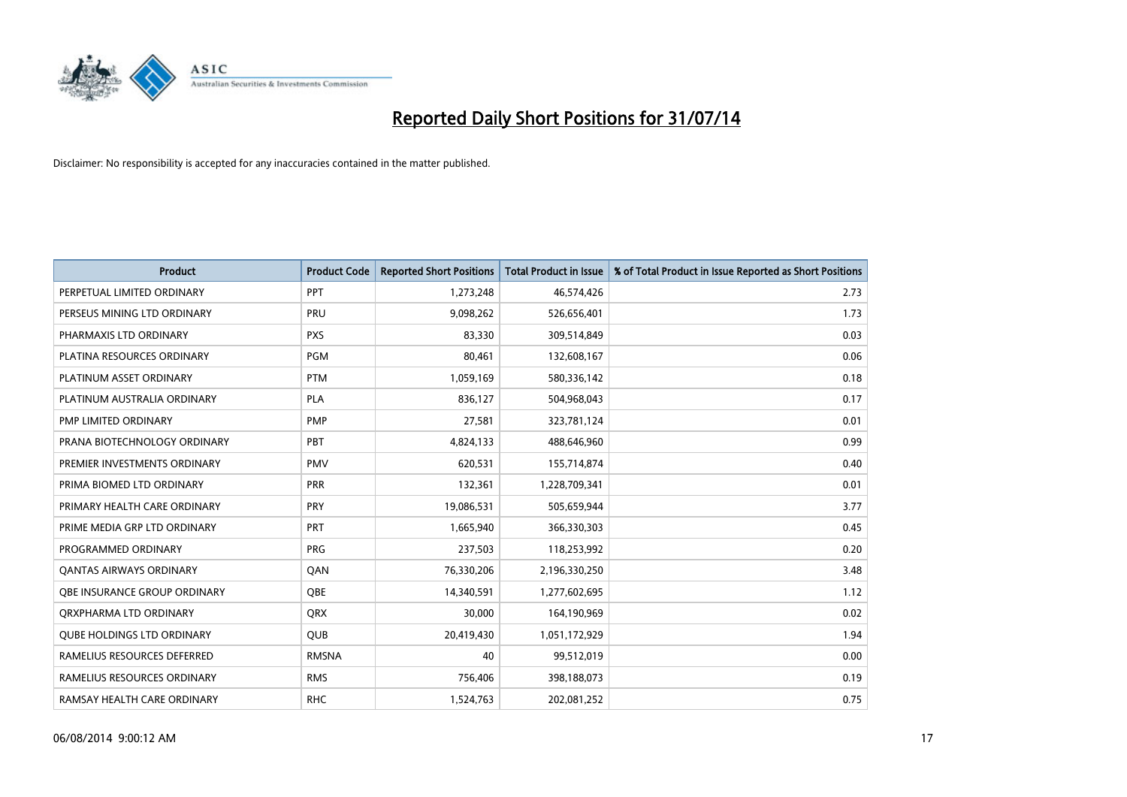

| <b>Product</b>                    | <b>Product Code</b> | <b>Reported Short Positions</b> | <b>Total Product in Issue</b> | % of Total Product in Issue Reported as Short Positions |
|-----------------------------------|---------------------|---------------------------------|-------------------------------|---------------------------------------------------------|
| PERPETUAL LIMITED ORDINARY        | PPT                 | 1,273,248                       | 46,574,426                    | 2.73                                                    |
| PERSEUS MINING LTD ORDINARY       | <b>PRU</b>          | 9,098,262                       | 526,656,401                   | 1.73                                                    |
| PHARMAXIS LTD ORDINARY            | <b>PXS</b>          | 83,330                          | 309,514,849                   | 0.03                                                    |
| PLATINA RESOURCES ORDINARY        | <b>PGM</b>          | 80,461                          | 132,608,167                   | 0.06                                                    |
| PLATINUM ASSET ORDINARY           | <b>PTM</b>          | 1,059,169                       | 580,336,142                   | 0.18                                                    |
| PLATINUM AUSTRALIA ORDINARY       | <b>PLA</b>          | 836,127                         | 504,968,043                   | 0.17                                                    |
| PMP LIMITED ORDINARY              | <b>PMP</b>          | 27,581                          | 323,781,124                   | 0.01                                                    |
| PRANA BIOTECHNOLOGY ORDINARY      | PBT                 | 4,824,133                       | 488,646,960                   | 0.99                                                    |
| PREMIER INVESTMENTS ORDINARY      | <b>PMV</b>          | 620,531                         | 155,714,874                   | 0.40                                                    |
| PRIMA BIOMED LTD ORDINARY         | <b>PRR</b>          | 132,361                         | 1,228,709,341                 | 0.01                                                    |
| PRIMARY HEALTH CARE ORDINARY      | <b>PRY</b>          | 19,086,531                      | 505,659,944                   | 3.77                                                    |
| PRIME MEDIA GRP LTD ORDINARY      | <b>PRT</b>          | 1,665,940                       | 366,330,303                   | 0.45                                                    |
| PROGRAMMED ORDINARY               | <b>PRG</b>          | 237,503                         | 118,253,992                   | 0.20                                                    |
| OANTAS AIRWAYS ORDINARY           | QAN                 | 76,330,206                      | 2,196,330,250                 | 3.48                                                    |
| OBE INSURANCE GROUP ORDINARY      | QBE                 | 14,340,591                      | 1,277,602,695                 | 1.12                                                    |
| ORXPHARMA LTD ORDINARY            | <b>QRX</b>          | 30,000                          | 164,190,969                   | 0.02                                                    |
| <b>QUBE HOLDINGS LTD ORDINARY</b> | <b>QUB</b>          | 20,419,430                      | 1,051,172,929                 | 1.94                                                    |
| RAMELIUS RESOURCES DEFERRED       | <b>RMSNA</b>        | 40                              | 99,512,019                    | 0.00                                                    |
| RAMELIUS RESOURCES ORDINARY       | <b>RMS</b>          | 756,406                         | 398,188,073                   | 0.19                                                    |
| RAMSAY HEALTH CARE ORDINARY       | <b>RHC</b>          | 1,524,763                       | 202,081,252                   | 0.75                                                    |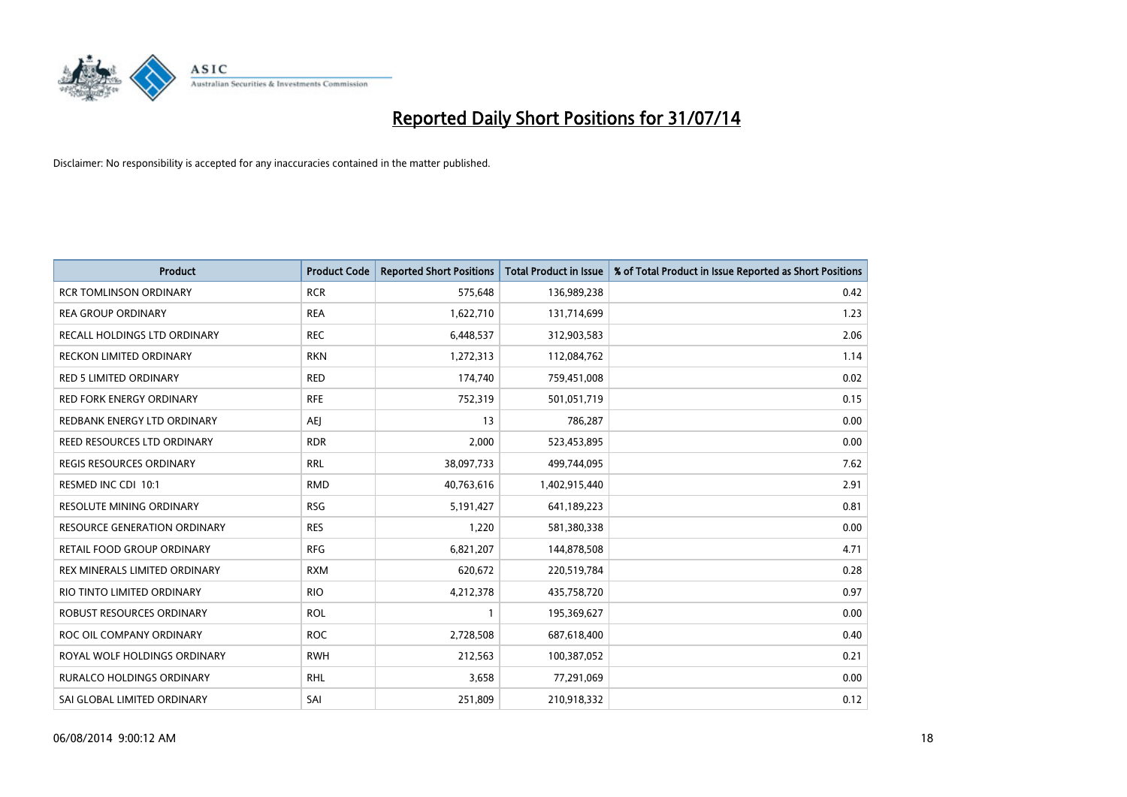

| Product                         | <b>Product Code</b> | <b>Reported Short Positions</b> | <b>Total Product in Issue</b> | % of Total Product in Issue Reported as Short Positions |
|---------------------------------|---------------------|---------------------------------|-------------------------------|---------------------------------------------------------|
| <b>RCR TOMLINSON ORDINARY</b>   | <b>RCR</b>          | 575,648                         | 136,989,238                   | 0.42                                                    |
| <b>REA GROUP ORDINARY</b>       | <b>REA</b>          | 1,622,710                       | 131,714,699                   | 1.23                                                    |
| RECALL HOLDINGS LTD ORDINARY    | <b>REC</b>          | 6,448,537                       | 312,903,583                   | 2.06                                                    |
| <b>RECKON LIMITED ORDINARY</b>  | <b>RKN</b>          | 1,272,313                       | 112,084,762                   | 1.14                                                    |
| <b>RED 5 LIMITED ORDINARY</b>   | <b>RED</b>          | 174,740                         | 759,451,008                   | 0.02                                                    |
| <b>RED FORK ENERGY ORDINARY</b> | <b>RFE</b>          | 752,319                         | 501,051,719                   | 0.15                                                    |
| REDBANK ENERGY LTD ORDINARY     | AEJ                 | 13                              | 786,287                       | 0.00                                                    |
| REED RESOURCES LTD ORDINARY     | <b>RDR</b>          | 2,000                           | 523,453,895                   | 0.00                                                    |
| REGIS RESOURCES ORDINARY        | <b>RRL</b>          | 38,097,733                      | 499,744,095                   | 7.62                                                    |
| RESMED INC CDI 10:1             | <b>RMD</b>          | 40,763,616                      | 1,402,915,440                 | 2.91                                                    |
| RESOLUTE MINING ORDINARY        | <b>RSG</b>          | 5,191,427                       | 641,189,223                   | 0.81                                                    |
| RESOURCE GENERATION ORDINARY    | <b>RES</b>          | 1,220                           | 581,380,338                   | 0.00                                                    |
| RETAIL FOOD GROUP ORDINARY      | <b>RFG</b>          | 6,821,207                       | 144,878,508                   | 4.71                                                    |
| REX MINERALS LIMITED ORDINARY   | <b>RXM</b>          | 620,672                         | 220,519,784                   | 0.28                                                    |
| RIO TINTO LIMITED ORDINARY      | <b>RIO</b>          | 4,212,378                       | 435,758,720                   | 0.97                                                    |
| ROBUST RESOURCES ORDINARY       | <b>ROL</b>          | 1                               | 195,369,627                   | 0.00                                                    |
| ROC OIL COMPANY ORDINARY        | <b>ROC</b>          | 2,728,508                       | 687,618,400                   | 0.40                                                    |
| ROYAL WOLF HOLDINGS ORDINARY    | <b>RWH</b>          | 212,563                         | 100,387,052                   | 0.21                                                    |
| RURALCO HOLDINGS ORDINARY       | <b>RHL</b>          | 3,658                           | 77,291,069                    | 0.00                                                    |
| SAI GLOBAL LIMITED ORDINARY     | SAI                 | 251,809                         | 210,918,332                   | 0.12                                                    |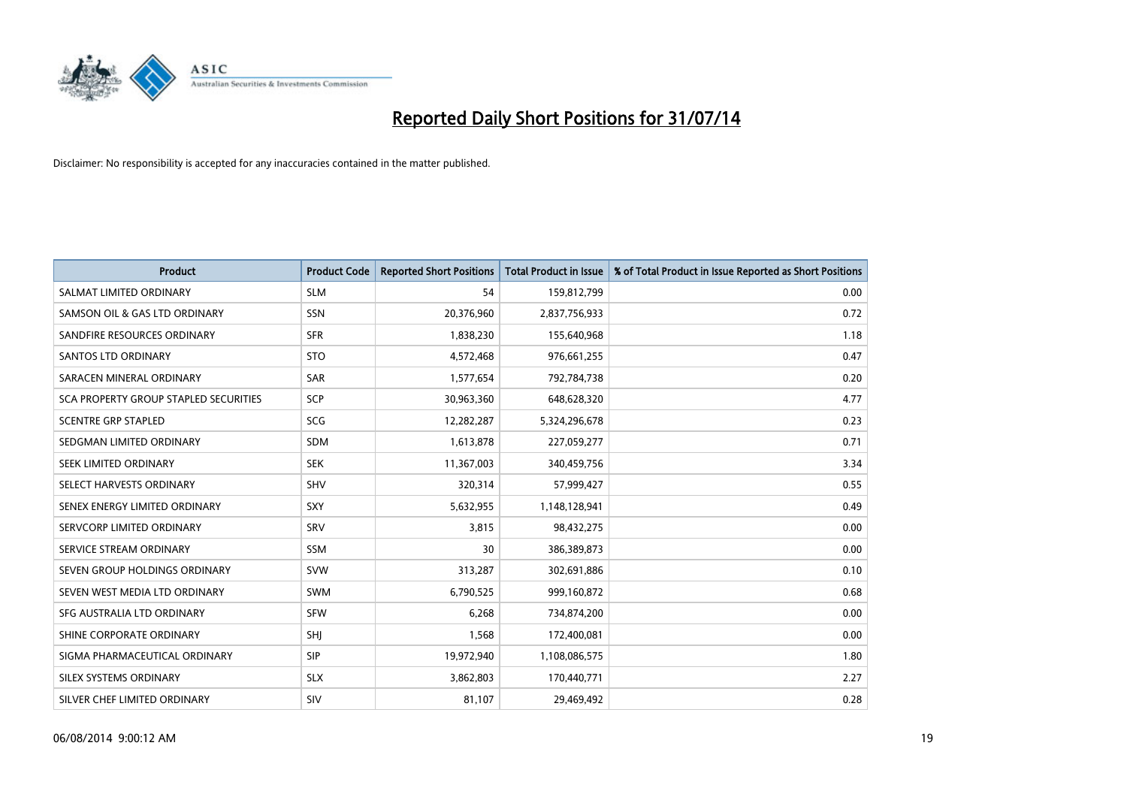

| <b>Product</b>                        | <b>Product Code</b> | <b>Reported Short Positions</b> | <b>Total Product in Issue</b> | % of Total Product in Issue Reported as Short Positions |
|---------------------------------------|---------------------|---------------------------------|-------------------------------|---------------------------------------------------------|
| SALMAT LIMITED ORDINARY               | <b>SLM</b>          | 54                              | 159,812,799                   | 0.00                                                    |
| SAMSON OIL & GAS LTD ORDINARY         | SSN                 | 20,376,960                      | 2,837,756,933                 | 0.72                                                    |
| SANDFIRE RESOURCES ORDINARY           | <b>SFR</b>          | 1,838,230                       | 155,640,968                   | 1.18                                                    |
| SANTOS LTD ORDINARY                   | <b>STO</b>          | 4,572,468                       | 976,661,255                   | 0.47                                                    |
| SARACEN MINERAL ORDINARY              | SAR                 | 1,577,654                       | 792,784,738                   | 0.20                                                    |
| SCA PROPERTY GROUP STAPLED SECURITIES | SCP                 | 30,963,360                      | 648,628,320                   | 4.77                                                    |
| <b>SCENTRE GRP STAPLED</b>            | <b>SCG</b>          | 12,282,287                      | 5,324,296,678                 | 0.23                                                    |
| SEDGMAN LIMITED ORDINARY              | SDM                 | 1,613,878                       | 227,059,277                   | 0.71                                                    |
| SEEK LIMITED ORDINARY                 | <b>SEK</b>          | 11,367,003                      | 340,459,756                   | 3.34                                                    |
| SELECT HARVESTS ORDINARY              | <b>SHV</b>          | 320,314                         | 57,999,427                    | 0.55                                                    |
| SENEX ENERGY LIMITED ORDINARY         | <b>SXY</b>          | 5,632,955                       | 1,148,128,941                 | 0.49                                                    |
| SERVCORP LIMITED ORDINARY             | SRV                 | 3,815                           | 98,432,275                    | 0.00                                                    |
| SERVICE STREAM ORDINARY               | SSM                 | 30                              | 386,389,873                   | 0.00                                                    |
| SEVEN GROUP HOLDINGS ORDINARY         | <b>SVW</b>          | 313,287                         | 302,691,886                   | 0.10                                                    |
| SEVEN WEST MEDIA LTD ORDINARY         | <b>SWM</b>          | 6,790,525                       | 999,160,872                   | 0.68                                                    |
| SFG AUSTRALIA LTD ORDINARY            | <b>SFW</b>          | 6,268                           | 734,874,200                   | 0.00                                                    |
| SHINE CORPORATE ORDINARY              | SHJ                 | 1,568                           | 172,400,081                   | 0.00                                                    |
| SIGMA PHARMACEUTICAL ORDINARY         | <b>SIP</b>          | 19,972,940                      | 1,108,086,575                 | 1.80                                                    |
| SILEX SYSTEMS ORDINARY                | <b>SLX</b>          | 3,862,803                       | 170,440,771                   | 2.27                                                    |
| SILVER CHEF LIMITED ORDINARY          | SIV                 | 81,107                          | 29,469,492                    | 0.28                                                    |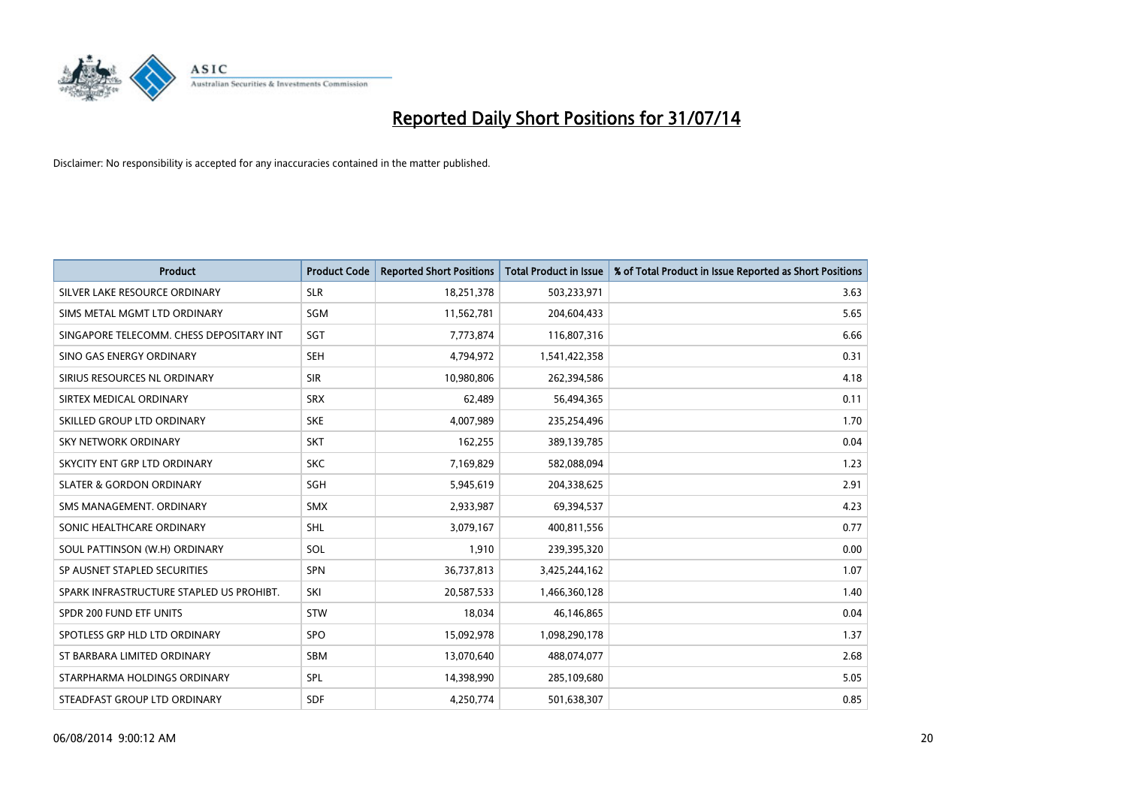

| <b>Product</b>                           | <b>Product Code</b> | <b>Reported Short Positions</b> | <b>Total Product in Issue</b> | % of Total Product in Issue Reported as Short Positions |
|------------------------------------------|---------------------|---------------------------------|-------------------------------|---------------------------------------------------------|
| SILVER LAKE RESOURCE ORDINARY            | <b>SLR</b>          | 18,251,378                      | 503,233,971                   | 3.63                                                    |
| SIMS METAL MGMT LTD ORDINARY             | <b>SGM</b>          | 11,562,781                      | 204,604,433                   | 5.65                                                    |
| SINGAPORE TELECOMM. CHESS DEPOSITARY INT | SGT                 | 7,773,874                       | 116,807,316                   | 6.66                                                    |
| SINO GAS ENERGY ORDINARY                 | <b>SEH</b>          | 4,794,972                       | 1,541,422,358                 | 0.31                                                    |
| SIRIUS RESOURCES NL ORDINARY             | <b>SIR</b>          | 10,980,806                      | 262,394,586                   | 4.18                                                    |
| SIRTEX MEDICAL ORDINARY                  | <b>SRX</b>          | 62,489                          | 56,494,365                    | 0.11                                                    |
| SKILLED GROUP LTD ORDINARY               | <b>SKE</b>          | 4,007,989                       | 235,254,496                   | 1.70                                                    |
| SKY NETWORK ORDINARY                     | <b>SKT</b>          | 162,255                         | 389,139,785                   | 0.04                                                    |
| SKYCITY ENT GRP LTD ORDINARY             | <b>SKC</b>          | 7,169,829                       | 582,088,094                   | 1.23                                                    |
| <b>SLATER &amp; GORDON ORDINARY</b>      | SGH                 | 5,945,619                       | 204,338,625                   | 2.91                                                    |
| SMS MANAGEMENT. ORDINARY                 | <b>SMX</b>          | 2,933,987                       | 69,394,537                    | 4.23                                                    |
| SONIC HEALTHCARE ORDINARY                | SHL                 | 3,079,167                       | 400,811,556                   | 0.77                                                    |
| SOUL PATTINSON (W.H) ORDINARY            | SOL                 | 1,910                           | 239,395,320                   | 0.00                                                    |
| SP AUSNET STAPLED SECURITIES             | SPN                 | 36,737,813                      | 3,425,244,162                 | 1.07                                                    |
| SPARK INFRASTRUCTURE STAPLED US PROHIBT. | SKI                 | 20,587,533                      | 1,466,360,128                 | 1.40                                                    |
| SPDR 200 FUND ETF UNITS                  | <b>STW</b>          | 18,034                          | 46,146,865                    | 0.04                                                    |
| SPOTLESS GRP HLD LTD ORDINARY            | <b>SPO</b>          | 15,092,978                      | 1,098,290,178                 | 1.37                                                    |
| ST BARBARA LIMITED ORDINARY              | <b>SBM</b>          | 13,070,640                      | 488,074,077                   | 2.68                                                    |
| STARPHARMA HOLDINGS ORDINARY             | <b>SPL</b>          | 14,398,990                      | 285,109,680                   | 5.05                                                    |
| STEADFAST GROUP LTD ORDINARY             | <b>SDF</b>          | 4,250,774                       | 501,638,307                   | 0.85                                                    |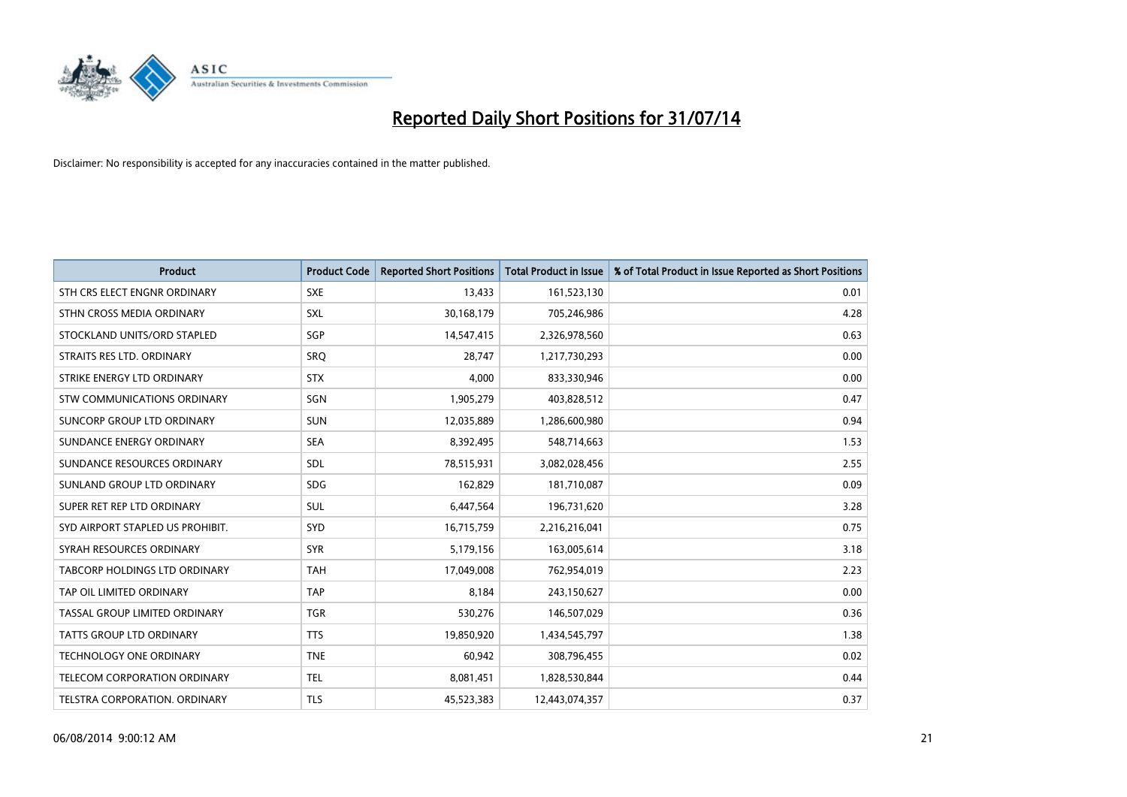

| <b>Product</b>                   | <b>Product Code</b> | <b>Reported Short Positions</b> | <b>Total Product in Issue</b> | % of Total Product in Issue Reported as Short Positions |
|----------------------------------|---------------------|---------------------------------|-------------------------------|---------------------------------------------------------|
| STH CRS ELECT ENGNR ORDINARY     | <b>SXE</b>          | 13,433                          | 161,523,130                   | 0.01                                                    |
| STHN CROSS MEDIA ORDINARY        | <b>SXL</b>          | 30,168,179                      | 705,246,986                   | 4.28                                                    |
| STOCKLAND UNITS/ORD STAPLED      | SGP                 | 14,547,415                      | 2,326,978,560                 | 0.63                                                    |
| STRAITS RES LTD. ORDINARY        | SRO                 | 28,747                          | 1,217,730,293                 | 0.00                                                    |
| STRIKE ENERGY LTD ORDINARY       | <b>STX</b>          | 4,000                           | 833,330,946                   | 0.00                                                    |
| STW COMMUNICATIONS ORDINARY      | SGN                 | 1,905,279                       | 403,828,512                   | 0.47                                                    |
| SUNCORP GROUP LTD ORDINARY       | <b>SUN</b>          | 12,035,889                      | 1,286,600,980                 | 0.94                                                    |
| SUNDANCE ENERGY ORDINARY         | <b>SEA</b>          | 8,392,495                       | 548,714,663                   | 1.53                                                    |
| SUNDANCE RESOURCES ORDINARY      | SDL                 | 78,515,931                      | 3,082,028,456                 | 2.55                                                    |
| SUNLAND GROUP LTD ORDINARY       | <b>SDG</b>          | 162,829                         | 181,710,087                   | 0.09                                                    |
| SUPER RET REP LTD ORDINARY       | <b>SUL</b>          | 6,447,564                       | 196,731,620                   | 3.28                                                    |
| SYD AIRPORT STAPLED US PROHIBIT. | <b>SYD</b>          | 16,715,759                      | 2,216,216,041                 | 0.75                                                    |
| SYRAH RESOURCES ORDINARY         | <b>SYR</b>          | 5,179,156                       | 163,005,614                   | 3.18                                                    |
| TABCORP HOLDINGS LTD ORDINARY    | <b>TAH</b>          | 17,049,008                      | 762,954,019                   | 2.23                                                    |
| TAP OIL LIMITED ORDINARY         | <b>TAP</b>          | 8,184                           | 243,150,627                   | 0.00                                                    |
| TASSAL GROUP LIMITED ORDINARY    | <b>TGR</b>          | 530,276                         | 146,507,029                   | 0.36                                                    |
| TATTS GROUP LTD ORDINARY         | <b>TTS</b>          | 19,850,920                      | 1,434,545,797                 | 1.38                                                    |
| <b>TECHNOLOGY ONE ORDINARY</b>   | <b>TNE</b>          | 60,942                          | 308,796,455                   | 0.02                                                    |
| TELECOM CORPORATION ORDINARY     | <b>TEL</b>          | 8,081,451                       | 1,828,530,844                 | 0.44                                                    |
| TELSTRA CORPORATION, ORDINARY    | TLS                 | 45,523,383                      | 12,443,074,357                | 0.37                                                    |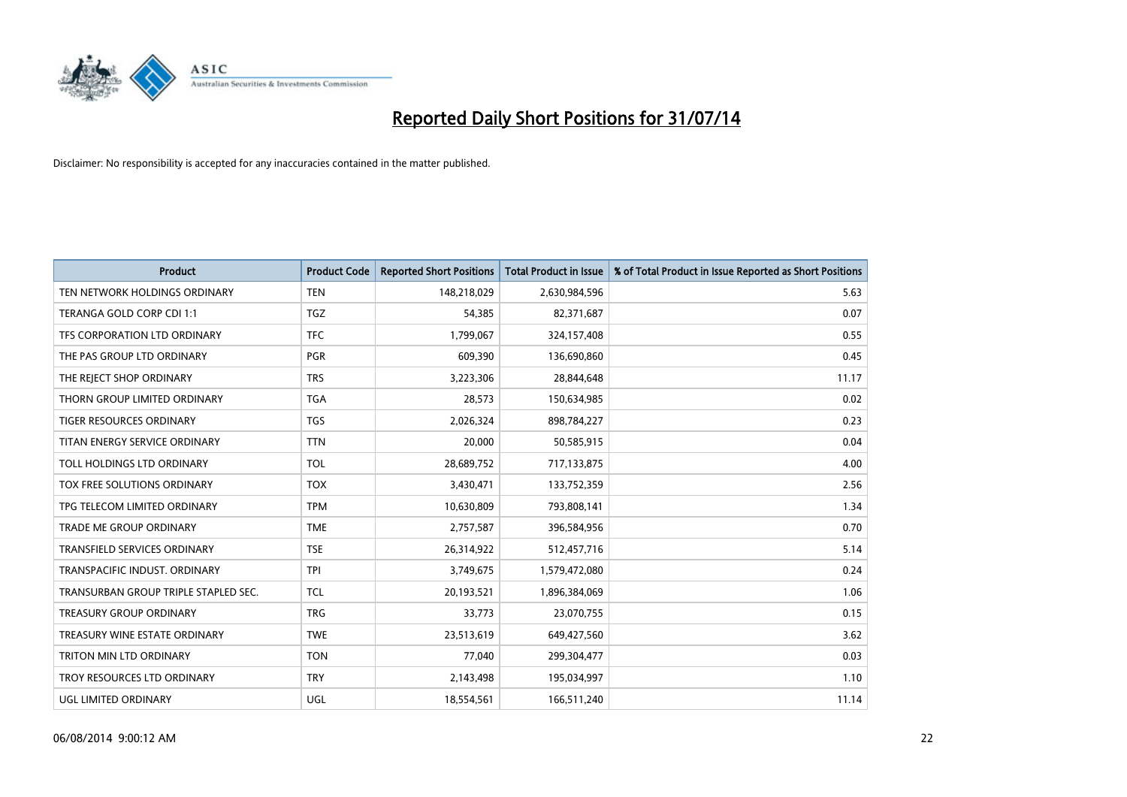

| <b>Product</b>                       | <b>Product Code</b> | <b>Reported Short Positions</b> | <b>Total Product in Issue</b> | % of Total Product in Issue Reported as Short Positions |
|--------------------------------------|---------------------|---------------------------------|-------------------------------|---------------------------------------------------------|
| TEN NETWORK HOLDINGS ORDINARY        | <b>TEN</b>          | 148,218,029                     | 2,630,984,596                 | 5.63                                                    |
| TERANGA GOLD CORP CDI 1:1            | <b>TGZ</b>          | 54,385                          | 82,371,687                    | 0.07                                                    |
| TFS CORPORATION LTD ORDINARY         | <b>TFC</b>          | 1,799,067                       | 324,157,408                   | 0.55                                                    |
| THE PAS GROUP LTD ORDINARY           | <b>PGR</b>          | 609,390                         | 136,690,860                   | 0.45                                                    |
| THE REJECT SHOP ORDINARY             | <b>TRS</b>          | 3,223,306                       | 28,844,648                    | 11.17                                                   |
| THORN GROUP LIMITED ORDINARY         | <b>TGA</b>          | 28,573                          | 150,634,985                   | 0.02                                                    |
| TIGER RESOURCES ORDINARY             | <b>TGS</b>          | 2,026,324                       | 898,784,227                   | 0.23                                                    |
| TITAN ENERGY SERVICE ORDINARY        | <b>TTN</b>          | 20,000                          | 50,585,915                    | 0.04                                                    |
| TOLL HOLDINGS LTD ORDINARY           | <b>TOL</b>          | 28,689,752                      | 717,133,875                   | 4.00                                                    |
| TOX FREE SOLUTIONS ORDINARY          | <b>TOX</b>          | 3,430,471                       | 133,752,359                   | 2.56                                                    |
| TPG TELECOM LIMITED ORDINARY         | <b>TPM</b>          | 10,630,809                      | 793,808,141                   | 1.34                                                    |
| <b>TRADE ME GROUP ORDINARY</b>       | <b>TME</b>          | 2,757,587                       | 396,584,956                   | 0.70                                                    |
| TRANSFIELD SERVICES ORDINARY         | <b>TSE</b>          | 26,314,922                      | 512,457,716                   | 5.14                                                    |
| TRANSPACIFIC INDUST, ORDINARY        | <b>TPI</b>          | 3,749,675                       | 1,579,472,080                 | 0.24                                                    |
| TRANSURBAN GROUP TRIPLE STAPLED SEC. | <b>TCL</b>          | 20,193,521                      | 1,896,384,069                 | 1.06                                                    |
| <b>TREASURY GROUP ORDINARY</b>       | <b>TRG</b>          | 33,773                          | 23,070,755                    | 0.15                                                    |
| TREASURY WINE ESTATE ORDINARY        | <b>TWE</b>          | 23,513,619                      | 649,427,560                   | 3.62                                                    |
| TRITON MIN LTD ORDINARY              | <b>TON</b>          | 77.040                          | 299,304,477                   | 0.03                                                    |
| TROY RESOURCES LTD ORDINARY          | <b>TRY</b>          | 2,143,498                       | 195,034,997                   | 1.10                                                    |
| UGL LIMITED ORDINARY                 | UGL                 | 18,554,561                      | 166,511,240                   | 11.14                                                   |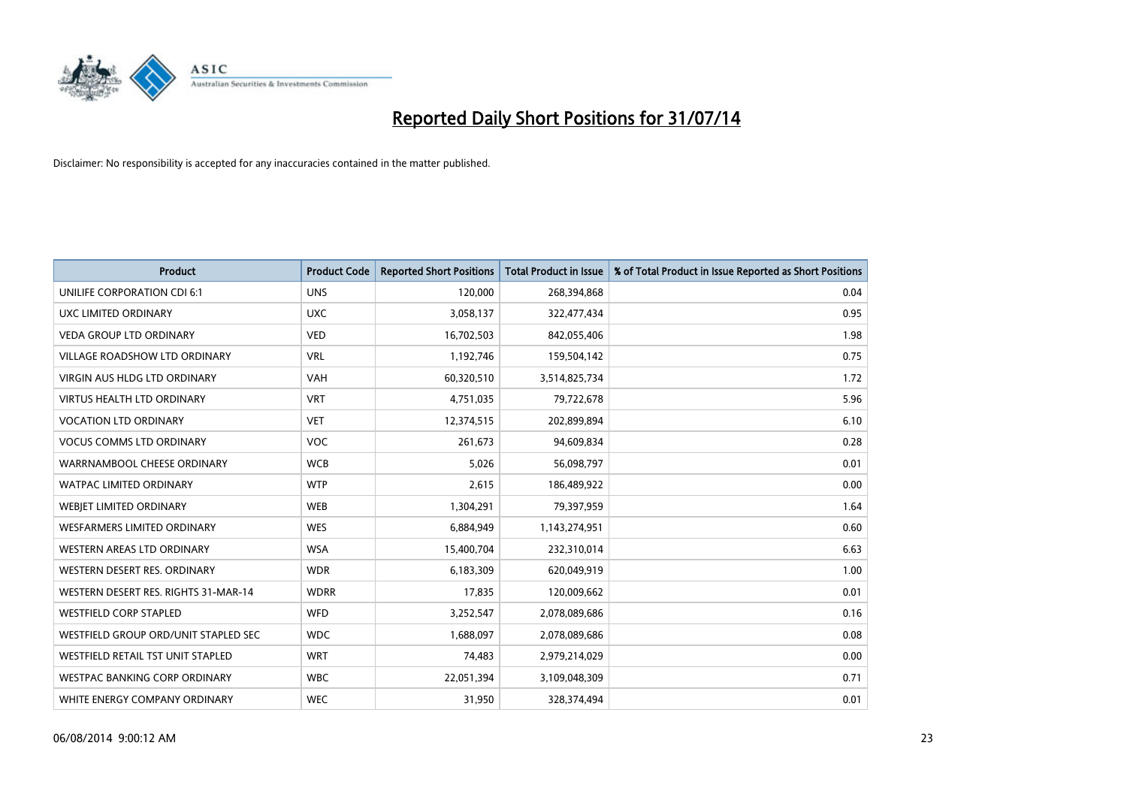

| <b>Product</b>                       | <b>Product Code</b> | <b>Reported Short Positions</b> | <b>Total Product in Issue</b> | % of Total Product in Issue Reported as Short Positions |
|--------------------------------------|---------------------|---------------------------------|-------------------------------|---------------------------------------------------------|
| UNILIFE CORPORATION CDI 6:1          | <b>UNS</b>          | 120,000                         | 268,394,868                   | 0.04                                                    |
| UXC LIMITED ORDINARY                 | <b>UXC</b>          | 3,058,137                       | 322,477,434                   | 0.95                                                    |
| <b>VEDA GROUP LTD ORDINARY</b>       | <b>VED</b>          | 16,702,503                      | 842,055,406                   | 1.98                                                    |
| <b>VILLAGE ROADSHOW LTD ORDINARY</b> | <b>VRL</b>          | 1,192,746                       | 159,504,142                   | 0.75                                                    |
| <b>VIRGIN AUS HLDG LTD ORDINARY</b>  | VAH                 | 60,320,510                      | 3,514,825,734                 | 1.72                                                    |
| <b>VIRTUS HEALTH LTD ORDINARY</b>    | <b>VRT</b>          | 4,751,035                       | 79,722,678                    | 5.96                                                    |
| <b>VOCATION LTD ORDINARY</b>         | <b>VET</b>          | 12,374,515                      | 202,899,894                   | 6.10                                                    |
| <b>VOCUS COMMS LTD ORDINARY</b>      | VOC                 | 261,673                         | 94,609,834                    | 0.28                                                    |
| WARRNAMBOOL CHEESE ORDINARY          | <b>WCB</b>          | 5,026                           | 56,098,797                    | 0.01                                                    |
| <b>WATPAC LIMITED ORDINARY</b>       | <b>WTP</b>          | 2,615                           | 186,489,922                   | 0.00                                                    |
| WEBIET LIMITED ORDINARY              | WEB                 | 1,304,291                       | 79,397,959                    | 1.64                                                    |
| <b>WESFARMERS LIMITED ORDINARY</b>   | <b>WES</b>          | 6,884,949                       | 1,143,274,951                 | 0.60                                                    |
| <b>WESTERN AREAS LTD ORDINARY</b>    | <b>WSA</b>          | 15,400,704                      | 232,310,014                   | 6.63                                                    |
| WESTERN DESERT RES. ORDINARY         | <b>WDR</b>          | 6,183,309                       | 620,049,919                   | 1.00                                                    |
| WESTERN DESERT RES. RIGHTS 31-MAR-14 | <b>WDRR</b>         | 17,835                          | 120,009,662                   | 0.01                                                    |
| <b>WESTFIELD CORP STAPLED</b>        | WFD                 | 3,252,547                       | 2,078,089,686                 | 0.16                                                    |
| WESTFIELD GROUP ORD/UNIT STAPLED SEC | <b>WDC</b>          | 1,688,097                       | 2,078,089,686                 | 0.08                                                    |
| WESTFIELD RETAIL TST UNIT STAPLED    | <b>WRT</b>          | 74,483                          | 2,979,214,029                 | 0.00                                                    |
| WESTPAC BANKING CORP ORDINARY        | <b>WBC</b>          | 22,051,394                      | 3,109,048,309                 | 0.71                                                    |
| WHITE ENERGY COMPANY ORDINARY        | <b>WEC</b>          | 31,950                          | 328,374,494                   | 0.01                                                    |